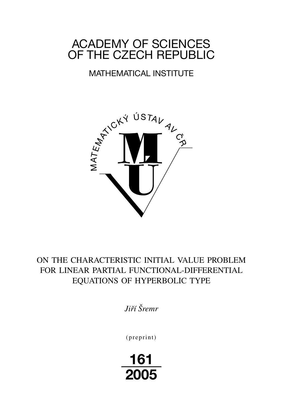# ACADEMY OF SCIENCES OF THE CZECH REPUBLIC

# MATHEMATICAL INSTITUTE



# ON THE CHARACTERISTIC INITIAL VALUE PROBLEM FOR LINEAR PARTIAL FUNCTIONAL-DIFFERENTIAL EQUATIONS OF HYPERBOLIC TYPE

*Jiří Šremr*

 $(p$ reprint $)$ 

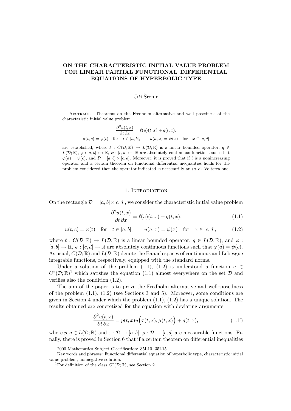# ON THE CHARACTERISTIC INITIAL VALUE PROBLEM FOR LINEAR PARTIAL FUNCTIONAL–DIFFERENTIAL EQUATIONS OF HYPERBOLIC TYPE

### Jiří Šremr

Abstract. Theorems on the Fredholm alternative and well–posedness of the characteristic initial value problem

$$
\frac{\partial^2 u(t,x)}{\partial t \partial x} = \ell(u)(t,x) + q(t,x),
$$
  
 
$$
u(t,c) = \varphi(t) \quad \text{for} \quad t \in [a,b], \qquad u(a,x) = \psi(x) \quad \text{for} \quad x \in [c,d]
$$

are established, where  $\ell : C(\mathcal{D}; \mathbb{R}) \to L(\mathcal{D}; \mathbb{R})$  is a linear bounded operator,  $q \in$  $L(\mathcal{D}; \mathbb{R}), \varphi : [a, b] \longrightarrow \mathbb{R}, \psi : [c, d] \longrightarrow \mathbb{R}$  are absolutely continuous functions such that  $\varphi(a) = \psi(c)$ , and  $\mathcal{D} = [a, b] \times [c, d]$ . Moreover, it is proved that if  $\ell$  is a nonincreasing operator and a certain theorem on functional differential inequalities holds for the problem considered then the operator indicated is necessarilly an  $(a, c)$ –Volterra one.

#### 1. Introduction

On the rectangle  $\mathcal{D} = [a, b] \times [c, d]$ , we consider the characteristic initial value problem

$$
\frac{\partial^2 u(t,x)}{\partial t \partial x} = \ell(u)(t,x) + q(t,x),\tag{1.1}
$$

$$
u(t,c) = \varphi(t) \quad \text{for} \quad t \in [a,b], \qquad u(a,x) = \psi(x) \quad \text{for} \quad x \in [c,d], \tag{1.2}
$$

where  $\ell : C(\mathcal{D}; \mathbb{R}) \to L(\mathcal{D}; \mathbb{R})$  is a linear bounded operator,  $q \in L(\mathcal{D}; \mathbb{R})$ , and  $\varphi$ :  $[a, b] \to \mathbb{R}, \psi : [c, d] \to \mathbb{R}$  are absolutely continuous functions such that  $\varphi(a) = \psi(c)$ . As usual,  $C(\mathcal{D}; \mathbb{R})$  and  $L(\mathcal{D}; \mathbb{R})$  denote the Banach spaces of continuous and Lebesgue integrable functions, respectively, equipped with the standard norms.

Under a solution of the problem (1.1), (1.2) is understood a function  $u \in$  $C^*(\mathcal{D};\mathbb{R})^1$  which satisfies the equation (1.1) almost everywhere on the set  $\mathcal D$  and verifies also the condition (1.2).

The aim of the paper is to prove the Fredholm alternative and well–posedness of the problem  $(1.1)$ ,  $(1.2)$  (see Sections 3 and 5). Moreover, some conditions are given in Section 4 under which the problem  $(1.1)$ ,  $(1.2)$  has a unique solution. The results obtained are concretized for the equation with deviating arguments

$$
\frac{\partial^2 u(t,x)}{\partial t \partial x} = p(t,x)u(\tau(t,x), \mu(t,x)) + q(t,x), \qquad (1.1')
$$

where  $p, q \in L(\mathcal{D}; \mathbb{R})$  and  $\tau : \mathcal{D} \to [a, b], \mu : \mathcal{D} \to [c, d]$  are measurable functions. Finally, there is proved in Section 6 that if a certain theorem on differential inequalities

<sup>2000</sup> Mathematics Subject Classification: 35L10, 35L15

Key words and phrases: Functional differential equation of hyperbolic type, characteristic initial value problem, nonnegative solution.

<sup>&</sup>lt;sup>1</sup>For definition of the class  $C^*(\mathcal{D};\mathbb{R})$ , see Section 2.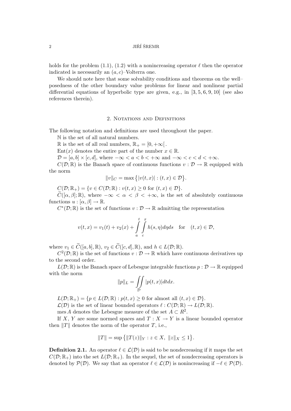$11\text{R}$ <sup>2</sup> JIRÍ ŠREMR

holds for the problem (1.1), (1.2) with a nonincreasing operator  $\ell$  then the operator indicated is necessarily an  $(a, c)$ –Volterra one.

We should note here that some solvability conditions and theorems on the well– posedness of the other boundary value problems for linear and nonlinear partial differential equations of hyperbolic type are given, e.g., in  $[3, 5, 6, 9, 10]$  (see also references therein).

#### 2. NOTATIONS AND DEFINITIONS

The following notation and definitions are used throughout the paper.

N is the set of all natural numbers.

R is the set of all real numbers,  $\mathbb{R}_+ = [0, +\infty]$ .

Ent $(x)$  denotes the entire part of the number  $x \in \mathbb{R}$ .

 $\mathcal{D} = [a, b] \times [c, d]$ , where  $-\infty < a < b < +\infty$  and  $-\infty < c < d < +\infty$ .

 $C(\mathcal{D}; \mathbb{R})$  is the Banach space of continuous functions  $v : \mathcal{D} \to \mathbb{R}$  equipped with the norm

$$
||v||_C = \max\{|v(t,x)| : (t,x) \in \mathcal{D}\}.
$$

 $C(\mathcal{D}; \mathbb{R}_+) = \{v \in C(\mathcal{D}; \mathbb{R}) : v(t, x) \geq 0 \text{ for } (t, x) \in \mathcal{D}\}.$ 

 $\tilde{C}([\alpha, \beta]; \mathbb{R})$ , where  $-\infty < \alpha < \beta < +\infty$ , is the set of absolutely continuous functions  $u : [\alpha, \beta] \to \mathbb{R}$ .

 $C^*(\mathcal{D};\mathbb{R})$  is the set of functions  $v:\mathcal{D}\to\mathbb{R}$  admitting the representation

$$
v(t,x) = v_1(t) + v_2(x) + \int_a^t \int_c^x h(s,\eta)d\eta ds \quad \text{for} \quad (t,x) \in \mathcal{D},
$$

where  $v_1 \in \widetilde{C}([a, b], \mathbb{R}), v_2 \in \widetilde{C}([c, d], \mathbb{R}), \text{ and } h \in L(\mathcal{D}; \mathbb{R}).$ 

 $C^2(\mathcal{D};\mathbb{R})$  is the set of functions  $v:\mathcal{D}\to\mathbb{R}$  which have continuous derivatives up to the second order.

 $L(\mathcal{D}; \mathbb{R})$  is the Banach space of Lebesgue integrable functions  $p : \mathcal{D} \to \mathbb{R}$  equipped with the norm

$$
||p||_L = \iint\limits_{\mathcal{D}} |p(t,x)| dt dx.
$$

 $L(\mathcal{D}; \mathbb{R}_+) = \{p \in L(\mathcal{D}; \mathbb{R}) : p(t,x) \geq 0 \text{ for almost all } (t,x) \in \mathcal{D}\}.$ 

 $\mathcal{L}(\mathcal{D})$  is the set of linear bounded operators  $\ell : C(\mathcal{D}; \mathbb{R}) \to L(\mathcal{D}; \mathbb{R}).$ 

mes A denotes the Lebesgue measure of the set  $A \subset R^2$ .

If X, Y are some normed spaces and  $T : X \to Y$  is a linear bounded operator then  $||T||$  denotes the norm of the operator T, i.e.,

$$
||T|| = \sup \{ ||T(z)||_Y : z \in X, ||z||_X \le 1 \}.
$$

**Definition 2.1.** An operator  $\ell \in \mathcal{L}(\mathcal{D})$  is said to be nondecreasing if it maps the set  $C(\mathcal{D}; \mathbb{R}_+)$  into the set  $L(\mathcal{D}; \mathbb{R}_+)$ . In the sequel, the set of nondecreasing operators is denoted by  $\mathcal{P}(\mathcal{D})$ . We say that an operator  $\ell \in \mathcal{L}(\mathcal{D})$  is nonincreasing if  $-\ell \in \mathcal{P}(\mathcal{D})$ .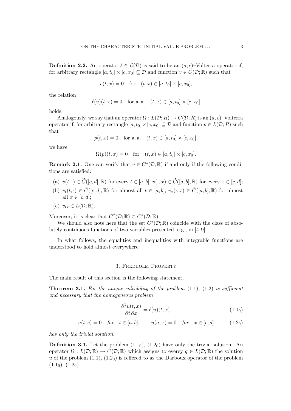**Definition 2.2.** An operator  $\ell \in \mathcal{L}(\mathcal{D})$  is said to be an  $(a, c)$ –Volterra operator if, for arbitrary rectangle  $[a, t_0] \times [c, x_0] \subseteq \mathcal{D}$  and function  $v \in C(\mathcal{D}; \mathbb{R})$  such that

$$
v(t, x) = 0
$$
 for  $(t, x) \in [a, t_0] \times [c, x_0]$ ,

the relation

$$
\ell(v)(t, x) = 0
$$
 for a. a.  $(t, x) \in [a, t_0] \times [c, x_0]$ 

holds.

Analogously, we say that an operator  $\Omega : L(\mathcal{D}; R) \to C(\mathcal{D}; R)$  is an  $(a, c)$ –Volterra operator if, for arbitrary rectangle  $[a, t_0] \times [c, x_0] \subseteq \mathcal{D}$  and function  $p \in L(\mathcal{D}; R)$  such that

$$
p(t, x) = 0
$$
 for a. a.  $(t, x) \in [a, t_0] \times [c, x_0]$ ,

we have

$$
\Omega(p)(t,x) = 0 \quad \text{for} \quad (t,x) \in [a, t_0] \times [c, x_0].
$$

**Remark 2.1.** One can verify that  $v \in C^*(\mathcal{D}; \mathbb{R})$  if and only if the following conditions are satisfied:

- (a)  $v(t, \cdot) \in \widetilde{C}([c, d], \mathbb{R})$  for every  $t \in [a, b], v(\cdot, x) \in \widetilde{C}([a, b], \mathbb{R})$  for every  $x \in [c, d]$ ;
- (b)  $v_t(t, \cdot) \in \widetilde{C}([c, d], \mathbb{R})$  for almost all  $t \in [a, b], v_x(\cdot, x) \in \widetilde{C}([a, b], \mathbb{R})$  for almost all  $x \in [c, d]$ ;

(c) 
$$
v_{tx} \in L(\mathcal{D}; \mathbb{R})
$$
.

Moreover, it is clear that  $C^2(\mathcal{D}; \mathbb{R}) \subset C^*(\mathcal{D}; \mathbb{R})$ .

We should also note here that the set  $C^*(\mathcal{D};\mathbb{R})$  coincide with the class of absolutely continuous functions of two variables presented, e.g., in [4, 9].

In what follows, the equalities and inequalities with integrable functions are understood to hold almost everywhere.

#### 3. Fredholm Property

The main result of this section is the following statement.

**Theorem 3.1.** For the unique solvability of the problem  $(1.1)$ ,  $(1.2)$  is sufficient and necessary that the homogeneous problem

$$
\frac{\partial^2 u(t, x)}{\partial t \partial x} = \ell(u)(t, x), \tag{1.1}_0
$$

$$
u(t, c) = 0
$$
 for  $t \in [a, b]$ ,  $u(a, x) = 0$  for  $x \in [c, d]$  (1.2<sub>0</sub>)

has only the trivial solution.

**Definition 3.1.** Let the problem  $(1.1<sub>0</sub>), (1.2<sub>0</sub>)$  have only the trivial solution. An operator  $\Omega : L(\mathcal{D}; \mathbb{R}) \to C(\mathcal{D}; \mathbb{R})$  which assigns to everey  $q \in L(\mathcal{D}; \mathbb{R})$  the solution u of the problem  $(1.1)$ ,  $(1.2<sub>0</sub>)$  is reflered to as the Darboux operator of the problem  $(1.1<sub>0</sub>), (1.2<sub>0</sub>).$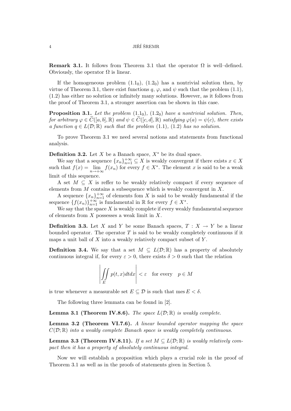**Remark 3.1.** It follows from Theorem 3.1 that the operator  $\Omega$  is well–defined. Obviously, the operator  $\Omega$  is linear.

If the homogeneous problem  $(1.1<sub>0</sub>)$ ,  $(1.2<sub>0</sub>)$  has a nontrivial solution then, by virtue of Theorem 3.1, there exist functions  $q, \varphi$ , and  $\psi$  such that the problem (1.1), (1.2) has either no solution or infinitely many solutions. However, as it follows from the proof of Theorem 3.1, a stronger assertion can be shown in this case.

**Proposition 3.1.** Let the problem  $(1.1<sub>0</sub>), (1.2<sub>0</sub>)$  have a nontrivial solution. Then, for arbitrary  $\varphi \in \widetilde{C}([a, b], \mathbb{R})$  and  $\psi \in \widetilde{C}([c, d], \mathbb{R})$  satisfying  $\varphi(a) = \psi(c)$ , there exists a function  $q \in L(\mathcal{D}; \mathbb{R})$  such that the problem (1.1), (1.2) has no solution.

To prove Theorem 3.1 we need several notions and statements from functional analysis.

**Definition 3.2.** Let X be a Banach space,  $X^*$  be its dual space.

We say that a sequence  $\{x_n\}_{n=1}^{+\infty} \subseteq X$  is weakly convergent if there exists  $x \in X$ such that  $f(x) = \lim_{n \to +\infty} f(x_n)$  for every  $f \in X^*$ . The element x is said to be a weak limit of this sequence.

A set  $M \subseteq X$  is reffer to be weakly relatively compact if every sequence of elements from  $M$  contains a subsequence which is weakly convergent in  $X$ .

A sequence  ${x_n}_{n=1}^{+\infty}$  of elements fom X is said to be weakly fundamental if the sequence  $\{f(x_n)\}_{n=1}^{+\infty}$  is fundamental in  $\mathbb R$  for every  $f \in X^*$ .

We say that the space  $X$  is weakly complete if every weakly fundamental sequence of elements from  $X$  possesses a weak limit in  $X$ .

**Definition 3.3.** Let X and Y be some Banach spaces,  $T : X \to Y$  be a linear bounded operator. The operator  $T$  is said to be weakly completely continuous if it maps a unit ball of  $X$  into a weakly relatively compact subset of  $Y$ .

**Definition 3.4.** We say that a set  $M \subseteq L(\mathcal{D}; \mathbb{R})$  has a property of absolutely continuous integral if, for every  $\varepsilon > 0$ , there exists  $\delta > 0$  such that the relation

$$
\left| \iint\limits_E p(t, x) dt dx \right| < \varepsilon \quad \text{for every} \quad p \in M
$$

is true whenever a measurable set  $E \subset \mathcal{D}$  is such that mes  $E < \delta$ .

The following three lemmata can be found in [2].

**Lemma 3.1 (Theorem IV.8.6).** The space  $L(\mathcal{D}; \mathbb{R})$  is weakly complete.

Lemma 3.2 (Theorem VI.7.6). A linear bounded operator mapping the space  $C(\mathcal{D}; \mathbb{R})$  into a weakly complete Banach space is weakly completely continuous.

**Lemma 3.3 (Theorem IV.8.11).** If a set  $M \subseteq L(\mathcal{D}; \mathbb{R})$  is weakly relatively compact then it has a property of absolutely continuous integral.

Now we will establish a proposition which plays a crucial role in the proof of Theorem 3.1 as well as in the proofs of statements given in Section 5.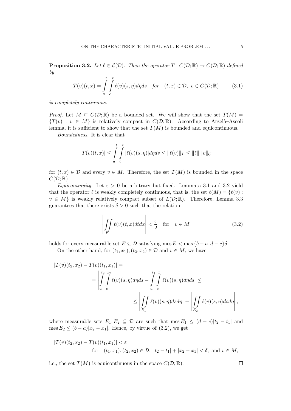**Proposition 3.2.** Let  $\ell \in \mathcal{L}(\mathcal{D})$ . Then the operator  $T : C(\mathcal{D}; \mathbb{R}) \to C(\mathcal{D}; \mathbb{R})$  defined by

$$
T(v)(t,x) = \int_{a}^{t} \int_{c}^{x} \ell(v)(s,\eta)d\eta ds \quad \text{for} \quad (t,x) \in \mathcal{D}, \ v \in C(\mathcal{D};\mathbb{R}) \tag{3.1}
$$

is completely continuous.

*Proof.* Let  $M \subseteq C(\mathcal{D}; \mathbb{R})$  be a bounded set. We will show that the set  $T(M)$  ${T(v) : v \in M}$  is relatively compact in  $C(\mathcal{D}; \mathbb{R})$ . According to Arzelà–Ascoli lemma, it is sufficient to show that the set  $T(M)$  is bounded and equicontinuous.

Boundedness. It is clear that

$$
|T(v)(t,x)| \leq \int_{a}^{t} \int_{c}^{x} |\ell(v)(s,\eta)| d\eta ds \leq ||\ell(v)||_{L} \leq ||\ell|| \, ||v||_{C}
$$

for  $(t, x) \in \mathcal{D}$  and every  $v \in M$ . Therefore, the set  $T(M)$  is bounded in the space  $C(\mathcal{D};\mathbb{R}).$ 

Equicontinuity. Let  $\varepsilon > 0$  be arbitrary but fixed. Lemmata 3.1 and 3.2 yield that the operator  $\ell$  is weakly completely continuous, that is, the set  $\ell(M) = \{ \ell(v) :$  $v \in M$  is weakly relatively compact subset of  $L(\mathcal{D}; \mathbb{R})$ . Therefore, Lemma 3.3 guarantees that there exists  $\delta > 0$  such that the relation

$$
\left| \iint\limits_{E} \ell(v)(t, x) dt dx \right| < \frac{\varepsilon}{2} \quad \text{for} \quad v \in M \tag{3.2}
$$

holds for every measurable set  $E \subseteq \mathcal{D}$  satisfying mes  $E < \max\{b - a, d - c\}\delta$ .

On the other hand, for  $(t_1, x_1), (t_2, x_2) \in \mathcal{D}$  and  $v \in M$ , we have

$$
|T(v)(t_2, x_2) - T(v)(t_1, x_1)| =
$$
  
= 
$$
\left| \int_a^{t_2} \int_c^{x_2} \ell(v)(s, \eta) d\eta ds - \int_a^{t_1} \int_c^{x_1} \ell(v)(s, \eta) d\eta ds \right| \le
$$
  

$$
\le \left| \int_{E_1} \ell(v)(s, \eta) ds d\eta \right| + \left| \int_{E_2} \ell(v)(s, \eta) ds d\eta \right|,
$$

where measurable sets  $E_1, E_2 \subseteq \mathcal{D}$  are such that mes  $E_1 \leq (d - c)|t_2 - t_1|$  and mes  $E_2 \leq (b-a)|x_2-x_1|$ . Hence, by virtue of (3.2), we get

$$
|T(v)(t_2, x_2) - T(v)(t_1, x_1)| < \varepsilon
$$
  
for  $(t_1, x_1), (t_2, x_2) \in \mathcal{D}, |t_2 - t_1| + |x_2 - x_1| < \delta$ , and  $v \in M$ ,

i.e., the set  $T(M)$  is equicontinuous in the space  $C(\mathcal{D}; \mathbb{R})$ .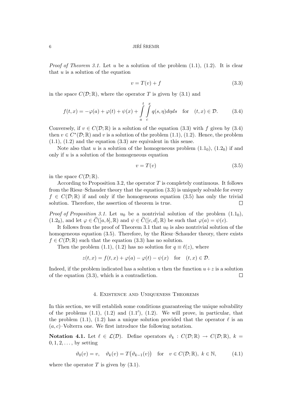$\overrightarrow{JI}$  JIRÍ ŠREMR

*Proof of Theorem 3.1.* Let u be a solution of the problem  $(1.1)$ ,  $(1.2)$ . It is clear that  $u$  is a solution of the equation

$$
v = T(v) + f \tag{3.3}
$$

in the space  $C(\mathcal{D}; \mathbb{R})$ , where the operator T is given by (3.1) and

$$
f(t,x) = -\varphi(a) + \varphi(t) + \psi(x) + \int_{a}^{t} \int_{c}^{x} q(s,\eta)d\eta ds \quad \text{for} \quad (t,x) \in \mathcal{D}.
$$
 (3.4)

Conversely, if  $v \in C(\mathcal{D}; \mathbb{R})$  is a solution of the equation (3.3) with f given by (3.4) then  $v \in C^*(\mathcal{D}; \mathbb{R})$  and v is a solution of the problem  $(1.1)$ ,  $(1.2)$ . Hence, the problem  $(1.1), (1.2)$  and the equation  $(3.3)$  are equivalent in this sense.

Note also that u is a solution of the homogeneous problem  $(1.1<sub>0</sub>), (1.2<sub>0</sub>)$  if and only if  $u$  is a solution of the homogeneous equation

$$
v = T(v) \tag{3.5}
$$

in the space  $C(\mathcal{D};\mathbb{R})$ .

According to Proposition 3.2, the operator  $T$  is completely continuous. It follows from the Riesz–Schauder theory that the equation (3.3) is uniquely solvable for every  $f \in C(\mathcal{D}; \mathbb{R})$  if and only if the homogeneous equation (3.5) has only the trivial solution. Therefore, the assertion of theorem is true.  $\Box$ 

*Proof of Proposition 3.1.* Let  $u_0$  be a nontrivial solution of the problem  $(1.1<sub>0</sub>)$ ,  $(1.2_0)$ , and let  $\varphi \in C([a, b], \mathbb{R})$  and  $\psi \in C([c, d], \mathbb{R})$  be such that  $\varphi(a) = \psi(c)$ .

It follows from the proof of Theorem 3.1 that  $u_0$  is also nontrivial solution of the homogeneous equation (3.5). Therefore, by the Riesz–Schauder theory, there exists  $f \in C(\mathcal{D}; \mathbb{R})$  such that the equation (3.3) has no solution.

Then the problem (1.1), (1.2) has no solution for  $q \equiv \ell(z)$ , where

$$
z(t, x) = f(t, x) + \varphi(a) - \varphi(t) - \psi(x) \quad \text{for} \quad (t, x) \in \mathcal{D}.
$$

Indeed, if the problem indicated has a solution u then the function  $u+z$  is a solution of the equation (3.3), which is a contradiction.  $\Box$ 

#### 4. Existence and Uniqueness Theorems

In this section, we will establish some conditions guaranteeing the unique solvability of the problems  $(1.1)$ ,  $(1.2)$  and  $(1.1')$ ,  $(1.2)$ . We will prove, in particular, that the problem (1.1), (1.2) has a unique solution provided that the operator  $\ell$  is an  $(a, c)$ –Volterra one. We first introduce the following notation.

Notation 4.1. Let  $\ell \in \mathcal{L}(\mathcal{D})$ . Define operators  $\vartheta_k : C(\mathcal{D}; \mathbb{R}) \to C(\mathcal{D}; \mathbb{R}), k =$  $0, 1, 2, \ldots$ , by setting

$$
\vartheta_0(v) = v, \quad \vartheta_k(v) = T(\vartheta_{k-1}(v)) \quad \text{for} \quad v \in C(\mathcal{D}; \mathbb{R}), \ k \in \mathbb{N}, \tag{4.1}
$$

where the operator  $T$  is given by  $(3.1)$ .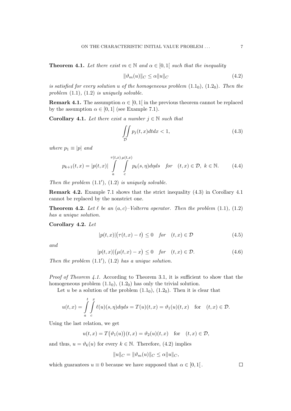**Theorem 4.1.** Let there exist  $m \in \mathbb{N}$  and  $\alpha \in [0,1]$  such that the inequality

$$
\|\vartheta_m(u)\|_C \le \alpha \|u\|_C \tag{4.2}
$$

is satisfied for every solution u of the homogeneous problem  $(1.1<sub>0</sub>)$ ,  $(1.2<sub>0</sub>)$ . Then the problem  $(1.1)$ ,  $(1.2)$  is uniquely solvable.

**Remark 4.1.** The assumption  $\alpha \in [0,1]$  in the previous theorem cannot be replaced by the assumption  $\alpha \in [0, 1]$  (see Example 7.1).

**Corollary 4.1.** Let there exist a number  $j \in \mathbb{N}$  such that

$$
\iint\limits_{\mathcal{D}} p_j(t, x) dt dx < 1,\tag{4.3}
$$

where  $p_1 \equiv |p|$  and

$$
p_{k+1}(t,x) = |p(t,x)| \int_{a}^{\tau(t,x)} \int_{c}^{\mu(t,x)} p_k(s,\eta) d\eta ds \quad \text{for} \quad (t,x) \in \mathcal{D}, \ k \in \mathbb{N}.
$$
 (4.4)

Then the problem  $(1.1'), (1.2)$  is uniquely solvable.

Remark 4.2. Example 7.1 shows that the strict inequality (4.3) in Corollary 4.1 cannot be replaced by the nonstrict one.

**Theorem 4.2.** Let  $\ell$  be an  $(a, c)$ –Volterra operator. Then the problem  $(1.1)$ ,  $(1.2)$ has a unique solution.

Corollary 4.2. Let

$$
|p(t,x)|(\tau(t,x)-t) \le 0 \quad \text{for} \quad (t,x) \in \mathcal{D} \tag{4.5}
$$

and

$$
|p(t,x)|(\mu(t,x)-x) \le 0 \quad \text{for} \quad (t,x) \in \mathcal{D}.\tag{4.6}
$$

Then the problem  $(1.1'), (1.2)$  has a unique solution.

*Proof of Theorem 4.1.* According to Theorem 3.1, it is sufficient to show that the homogeneous problem  $(1.1<sub>0</sub>), (1.2<sub>0</sub>)$  has only the trivial solution.

Let u be a solution of the problem  $(1.1<sub>0</sub>), (1.2<sub>0</sub>)$ . Then it is clear that

$$
u(t,x) = \int_{a}^{t} \int_{c}^{x} \ell(u)(s,\eta)d\eta ds = T(u)(t,x) = \vartheta_1(u)(t,x) \text{ for } (t,x) \in \mathcal{D}.
$$

Using the last relation, we get

$$
u(t,x) = T(\vartheta_1(u))(t,x) = \vartheta_2(u)(t,x) \text{ for } (t,x) \in \mathcal{D},
$$

and thus,  $u = \vartheta_k(u)$  for every  $k \in \mathbb{N}$ . Therefore, (4.2) implies

$$
||u||_C = ||\vartheta_m(u)||_C \le \alpha ||u||_C,
$$

which guarantees  $u\equiv 0$  because we have supposed that  $\alpha\in [0,1[$  .

 $\Box$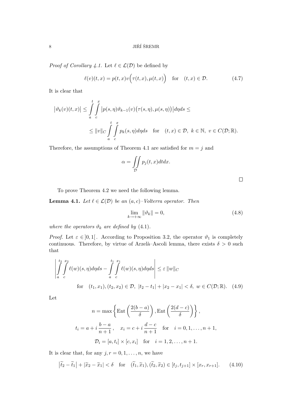*Proof of Corollary 4.1.* Let  $\ell \in \mathcal{L}(\mathcal{D})$  be defined by

$$
\ell(v)(t,x) = p(t,x)v\Big(\tau(t,x), \mu(t,x)\Big) \quad \text{for} \quad (t,x) \in \mathcal{D}.\tag{4.7}
$$

It is clear that

$$
\left|\vartheta_k(v)(t,x)\right| \leq \int_a^t \int_c^x \left|p(s,\eta)\vartheta_{k-1}(v)\big(\tau(s,\eta),\mu(s,\eta)\big)\right| d\eta ds \leq
$$
  

$$
\leq \|v\|_{C} \int_a^t \int_c^x p_k(s,\eta) d\eta ds \quad \text{for} \quad (t,x) \in \mathcal{D}, \ k \in \mathbb{N}, \ v \in C(\mathcal{D};\mathbb{R}).
$$

Therefore, the assumptions of Theorem 4.1 are satisfied for  $m = j$  and

$$
\alpha = \iint\limits_{\mathcal{D}} p_j(t, x) dt dx.
$$

To prove Theorem 4.2 we need the following lemma.

**Lemma 4.1.** Let  $\ell \in \mathcal{L}(\mathcal{D})$  be an  $(a, c)$ –Volterra operator. Then

$$
\lim_{k \to +\infty} \|\vartheta_k\| = 0,\tag{4.8}
$$

where the operators  $\vartheta_k$  are defined by (4.1).

*Proof.* Let  $\varepsilon \in ]0,1]$ . According to Proposition 3.2, the operator  $\vartheta_1$  is completely continuous. Therefore, by virtue of Arzelà–Ascoli lemma, there exists  $\delta > 0$  such that

$$
\left| \int_{a}^{t_2} \int_{c}^{x_2} \ell(w)(s, \eta) d\eta ds - \int_{a}^{t_1} \int_{c}^{x_1} \ell(w)(s, \eta) d\eta ds \right| \leq \varepsilon ||w||_{C}
$$
  
for  $(t_1, x_1), (t_2, x_2) \in \mathcal{D}, |t_2 - t_1| + |x_2 - x_1| < \delta, w \in C(\mathcal{D}; \mathbb{R}).$  (4.9)

Let

$$
n = \max\left\{\text{Ent}\left(\frac{2(b-a)}{\delta}\right), \text{Ent}\left(\frac{2(d-c)}{\delta}\right)\right\},\
$$
  

$$
t_i = a + i\frac{b-a}{n+1}, \quad x_i = c + i\frac{d-c}{n+1} \quad \text{for} \quad i = 0, 1, \dots, n+1,
$$
  

$$
\mathcal{D}_i = [a, t_i] \times [c, x_i] \quad \text{for} \quad i = 1, 2, \dots, n+1.
$$

It is clear that, for any  $j, r = 0, 1, \ldots, n$ , we have

$$
\left|\tilde{t}_2 - \tilde{t}_1\right| + \left|\tilde{x}_2 - \tilde{x}_1\right| < \delta \quad \text{for} \quad (\tilde{t}_1, \tilde{x}_1), (\tilde{t}_2, \tilde{x}_2) \in [t_j, t_{j+1}] \times [x_r, x_{r+1}].\tag{4.10}
$$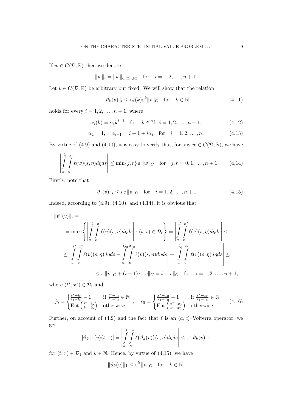If  $w \in C(\mathcal{D}; \mathbb{R})$  then we denote

$$
||w||_i = ||w||_{C(\mathcal{D}_i; \mathbb{R})}
$$
 for  $i = 1, 2, ..., n + 1$ .

Let  $v \in C(\mathcal{D}; \mathbb{R})$  be arbitrary but fixed. We will show that the relation

$$
\|\vartheta_k(v)\|_i \le \alpha_i(k)\varepsilon^k \|v\|_C \quad \text{for} \quad k \in \mathbb{N} \tag{4.11}
$$

holds for every  $i = 1, 2, \ldots, n + 1$ , where

$$
\alpha_i(k) = \alpha_i k^{i-1} \text{ for } k \in \mathbb{N}, i = 1, 2, ..., n+1,
$$
 (4.12)

$$
\alpha_1 = 1, \quad \alpha_{i+1} = i+1+i\alpha_i \quad \text{for} \quad i = 1, 2, \dots, n.
$$
 (4.13)

By virtue of (4.9) and (4.10), it is easy to verify that, for any  $w \in C(\mathcal{D}; \mathbb{R})$ , we have

$$
\left| \int_{a}^{t_j} \int_{c}^{x_r} \ell(w)(s, \eta) d\eta ds \right| \le \min\{j, r\} \varepsilon ||w||_C \quad \text{for} \quad j, r = 0, 1, \dots, n+1. \tag{4.14}
$$

Firstly, note that

$$
\|\vartheta_1(v)\|_i \le i \,\varepsilon \, \|v\|_C \quad \text{for} \quad i = 1, 2, \dots, n+1. \tag{4.15}
$$

Indeed, according to  $(4.9)$ ,  $(4.10)$ , and  $(4.14)$ , it is obvious that

$$
\|\vartheta_1(v)\|_i =
$$
\n
$$
= \max \left\{ \left| \int_a^t \int_c^x \ell(v)(s, \eta) d\eta ds \right| : (t, x) \in \mathcal{D}_i \right\} = \left| \int_a^{t^*} \int_c^{x^*} \ell(v)(s, \eta) d\eta ds \right| \le
$$
\n
$$
\leq \left| \int_a^{t^*} \int_c^{x^*} \ell(v)(s, \eta) d\eta ds - \int_a^{t_{j_0}} \int_c^{t_{j_0}} \ell(v)(s, \eta) d\eta ds \right| + \left| \int_a^{t_{j_0}} \int_c^{t_{j_0}} \ell(v)(s, \eta) d\eta ds \right| \le
$$
\n
$$
\leq \varepsilon \|\nu\|_C + (i - 1)\varepsilon \|\nu\|_C = i\varepsilon \|\nu\|_C \quad \text{for} \quad i = 1, 2, \dots, n + 1,
$$

where  $(t^*, x^*) \in \mathcal{D}_i$  and

$$
j_0 = \begin{cases} \frac{t^* - t_0}{t_1 - t_0} - 1 & \text{if } \frac{t^* - t_0}{t_1 - t_0} \in \mathbb{N} \\ \text{Ent}\left(\frac{t^* - t_0}{t_1 - t_0}\right) & \text{otherwise} \end{cases}, \quad r_0 = \begin{cases} \frac{x^* - x_0}{x_1 - x_0} - 1 & \text{if } \frac{x^* - x_0}{x_1 - x_0} \in \mathbb{N} \\ \text{Ent}\left(\frac{x^* - x_0}{x_1 - x_0}\right) & \text{otherwise} \end{cases} . \tag{4.16}
$$

Further, on account of (4.9) and the fact that  $\ell$  is an  $(a, c)$ –Volterra operator, we get

$$
|\vartheta_{k+1}(v)(t,x)| = \left| \int\limits_a^t \int\limits_c^x \ell(\vartheta_k(v))(s,\eta) d\eta ds \right| \leq \varepsilon \, \|\vartheta_k(v)\|_1
$$

for  $(t, x) \in \mathcal{D}_1$  and  $k \in \mathbb{N}$ . Hence, by virtue of (4.15), we have

$$
\|\vartheta_k(v)\|_1 \le \varepsilon^k \|v\|_C \quad \text{for} \quad k \in \mathbb{N},
$$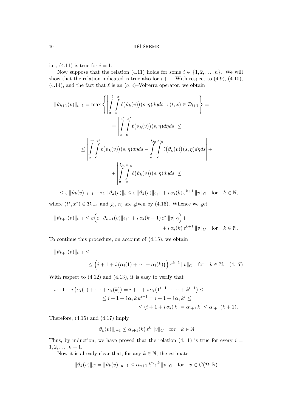i.e.,  $(4.11)$  is true for  $i = 1$ .

Now suppose that the relation (4.11) holds for some  $i \in \{1, 2, ..., n\}$ . We will show that the relation indicated is true also for  $i + 1$ . With respect to (4.9), (4.10), (4.14), and the fact that  $\ell$  is an  $(a, c)$ –Volterra operator, we obtain

$$
\|\vartheta_{k+1}(v)\|_{i+1} = \max \left\{ \left| \int_a^t \int_a^x \ell(\vartheta_k(v))(s, \eta) d\eta ds \right| : (t, x) \in \mathcal{D}_{i+1} \right\} =
$$
  

$$
= \left| \int_a^t \int_a^x \ell(\vartheta_k(v))(s, \eta) d\eta ds \right| \le
$$
  

$$
\leq \left| \int_a^{t^*} \int_a^{x^*} \ell(\vartheta_k(v))(s, \eta) d\eta ds - \int_a^{t_{j_0}} \int_a^{x_{r_0}} \ell(\vartheta_k(v))(s, \eta) d\eta ds \right| +
$$
  

$$
+ \left| \int_a^{t_{j_0}} \int_a^{x_{r_0}} \ell(\vartheta_k(v))(s, \eta) d\eta ds \right| \le
$$

 $\leq \varepsilon \|\vartheta_k(v)\|_{i+1} + i \varepsilon \|\vartheta_k(v)\|_i \leq \varepsilon \|\vartheta_k(v)\|_{i+1} + i \alpha_i(k) \varepsilon^{k+1} \|v\|_C \quad \text{for} \quad k \in \mathbb{N},$ 

where  $(t^*, x^*) \in \mathcal{D}_{i+1}$  and  $j_0, r_0$  are given by (4.16). Whence we get

$$
\|\vartheta_{k+1}(v)\|_{i+1} \leq \varepsilon \Big( \varepsilon \|\vartheta_{k-1}(v)\|_{i+1} + i \alpha_i (k-1) \varepsilon^k \|v\|_C \Big) +
$$
  
 
$$
+ i \alpha_i(k) \varepsilon^{k+1} \|v\|_C \quad \text{for} \quad k \in \mathbb{N}.
$$

To continue this procedure, on account of (4.15), we obtain

$$
\|\vartheta_{k+1}(v)\|_{i+1} \le
$$
  
 
$$
\leq (i+1+i(\alpha_i(1)+\cdots+\alpha_i(k)))\,\varepsilon^{k+1} \|v\|_C \quad \text{for} \quad k \in \mathbb{N}. \tag{4.17}
$$

With respect to  $(4.12)$  and  $(4.13)$ , it is easy to verify that

$$
i + 1 + i \left( \alpha_i(1) + \dots + \alpha_i(k) \right) = i + 1 + i \alpha_i \left( 1^{i-1} + \dots + k^{i-1} \right) \le
$$
  
 
$$
\leq i + 1 + i \alpha_i k k^{i-1} = i + 1 + i \alpha_i k^i \le
$$
  
 
$$
\leq (i + 1 + i \alpha_i) k^i = \alpha_{i+1} k^i \leq \alpha_{i+1} (k + 1).
$$

Therefore, (4.15) and (4.17) imply

$$
\|\vartheta_k(v)\|_{i+1} \le \alpha_{i+1}(k) \,\varepsilon^k \, \|v\|_C \quad \text{for} \quad k \in \mathbb{N}.
$$

Thus, by induction, we have proved that the relation (4.11) is true for every  $i =$  $1, 2, \ldots, n + 1.$ 

Now it is already clear that, for any  $k \in \mathbb{N}$ , the estimate

$$
\|\vartheta_k(v)\|_C = \|\vartheta_k(v)\|_{n+1} \le \alpha_{n+1} k^n \varepsilon^k \|v\|_C \quad \text{for} \quad v \in C(\mathcal{D}; \mathbb{R})
$$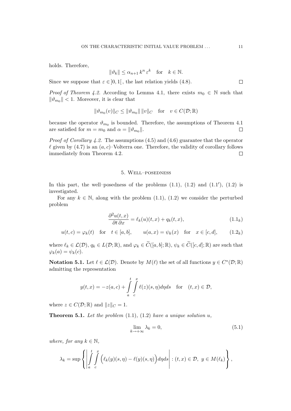holds. Therefore,

$$
\|\vartheta_k\| \le \alpha_{n+1} k^n \,\varepsilon^k \quad \text{for} \quad k \in \mathbb{N}.
$$

Since we suppose that  $\varepsilon \in ]0,1[$ , the last relation yields (4.8).

*Proof of Theorem 4.2.* According to Lemma 4.1, there exists  $m_0 \in \mathbb{N}$  such that  $\|\theta_{m_0}\|$  < 1. Moreover, it is clear that

$$
\|\vartheta_{m_0}(v)\|_C \le \|\vartheta_{m_0}\| \, \|v\|_C \quad \text{for} \quad v \in C(\mathcal{D}; \mathbb{R})
$$

because the operator  $\vartheta_{m_0}$  is bounded. Therefore, the assumptions of Theorem 4.1 are satisfied for  $m = m_0$  and  $\alpha = ||\vartheta_{m_0}||$ .  $\Box$ 

*Proof of Corollary 4.2.* The assumptions  $(4.5)$  and  $(4.6)$  guarantee that the operator  $\ell$  given by (4.7) is an  $(a, c)$ –Volterra one. Therefore, the validity of corollary follows immediately from Theorem 4.2.  $\Box$ 

#### 5. Well–posedness

In this part, the well-posedness of the problems  $(1.1)$ ,  $(1.2)$  and  $(1.1')$ ,  $(1.2)$  is investigated.

For any  $k \in \mathbb{N}$ , along with the problem (1.1), (1.2) we consider the perturbed problem

$$
\frac{\partial^2 u(t,x)}{\partial t \partial x} = \ell_k(u)(t,x) + q_k(t,x),\tag{1.1_k}
$$

$$
u(t,c) = \varphi_k(t) \quad \text{for} \quad t \in [a,b], \qquad u(a,x) = \psi_k(x) \quad \text{for} \quad x \in [c,d], \tag{1.2k}
$$

where  $\ell_k \in \mathcal{L}(\mathcal{D}), q_k \in L(\mathcal{D}; \mathbb{R})$ , and  $\varphi_k \in \widetilde{C}([a, b]; \mathbb{R}), \psi_k \in \widetilde{C}([c, d]; \mathbb{R})$  are such that  $\varphi_k(a) = \psi_k(c).$ 

**Notation 5.1.** Let  $\ell \in \mathcal{L}(\mathcal{D})$ . Denote by  $M(\ell)$  the set of all functions  $y \in C^*(\mathcal{D}; \mathbb{R})$ admitting the representation

$$
y(t,x) = -z(a,c) + \int_{a}^{t} \int_{c}^{x} \ell(z)(s,\eta)d\eta ds \quad \text{for} \quad (t,x) \in \mathcal{D},
$$

where  $z \in C(\mathcal{D}; \mathbb{R})$  and  $||z||_C = 1$ .

**Theorem 5.1.** Let the problem  $(1.1)$ ,  $(1.2)$  have a unique solution  $u$ ,

$$
\lim_{k \to +\infty} \lambda_k = 0,\tag{5.1}
$$

where, for any  $k \in \mathbb{N}$ ,

$$
\lambda_k = \sup \left\{ \left| \int_a^t \int_c^x \left( \ell_k(y)(s,\eta) - \ell(y)(s,\eta) \right) d\eta ds \right| : (t,x) \in \mathcal{D}, \ y \in M(\ell_k) \right\},\
$$

 $\Box$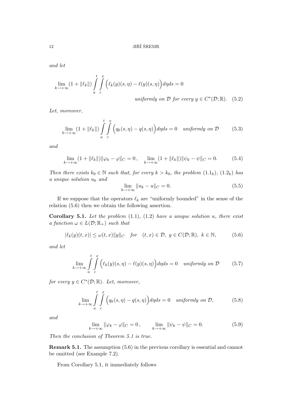and let

$$
\lim_{k \to +\infty} (1 + ||\ell_k||) \int_a^t \int_c^x \Big( \ell_k(y)(s, \eta) - \ell(y)(s, \eta) \Big) d\eta ds = 0
$$
  
uniformly on  $\mathcal{D}$  for every  $y \in C^*(\mathcal{D}; \mathbb{R})$ . (5.2)

Let, moreover,

$$
\lim_{k \to +\infty} (1 + ||\ell_k||) \int_{a}^{t} \int_{c}^{x} \Big( q_k(s, \eta) - q(s, \eta) \Big) d\eta ds = 0 \quad \text{uniformly on } \mathcal{D} \tag{5.3}
$$

and

$$
\lim_{k \to +\infty} (1 + ||\ell_k||) ||\varphi_k - \varphi||_C = 0, \quad \lim_{k \to +\infty} (1 + ||\ell_k||) ||\psi_k - \psi||_C = 0.
$$
 (5.4)

Then there exists  $k_0 \in \mathbb{N}$  such that, for every  $k > k_0$ , the problem  $(1.1_k)$ ,  $(1.2_k)$  has a unique solution  $u_k$  and

$$
\lim_{k \to +\infty} \|u_k - u\|_C = 0. \tag{5.5}
$$

If we suppose that the operators  $\ell_k$  are "uniformly bounded" in the sense of the relation (5.6) then we obtain the following assertion.

Corollary 5.1. Let the problem  $(1.1)$ ,  $(1.2)$  have a unique solution u, there exist a function  $\omega \in L(\mathcal{D}; \mathbb{R}_{+})$  such that

$$
|\ell_k(y)(t,x)| \le \omega(t,x) \|y\|_C \quad \text{for} \quad (t,x) \in \mathcal{D}, \ y \in C(\mathcal{D}; \mathbb{R}), \ k \in \mathbb{N}, \tag{5.6}
$$

and let

$$
\lim_{k \to +\infty} \int_{a}^{t} \int_{c}^{x} \left( \ell_k(y)(s,\eta) - \ell(y)(s,\eta) \right) d\eta ds = 0 \quad \text{uniformly on } \mathcal{D} \tag{5.7}
$$

for every  $y \in C^*(\mathcal{D}; \mathbb{R})$ . Let, moreover,

$$
\lim_{k \to +\infty} \int\limits_a^t \int\limits_c^x \Big( q_k(s,\eta) - q(s,\eta) \Big) d\eta ds = 0 \quad \text{uniformly on } \mathcal{D}, \tag{5.8}
$$

and

$$
\lim_{k \to +\infty} \|\varphi_k - \varphi\|_C = 0, \qquad \lim_{k \to +\infty} \|\psi_k - \psi\|_C = 0.
$$
\n(5.9)

Then the conclusion of Theorem 5.1 is true.

Remark 5.1. The assumption (5.6) in the previous corollary is essential and cannot be omitted (see Example 7.2).

From Corollary 5.1, it immediately follows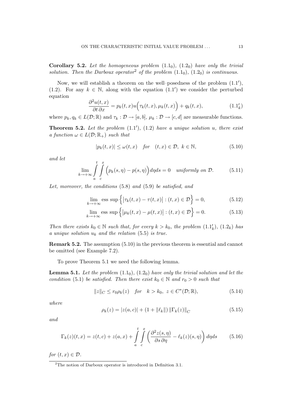**Corollary 5.2.** Let the homogeneous problem  $(1.1<sub>0</sub>)$ ,  $(1.2<sub>0</sub>)$  have only the trivial solution. Then the Darboux operator<sup>2</sup> of the problem  $(1.1<sub>0</sub>)$ ,  $(1.2<sub>0</sub>)$  is continuous.

Now, we will establish a theorem on the well-posedness of the problem  $(1.1')$ , (1.2). For any  $k \in \mathbb{N}$ , along with the equation  $(1.1')$  we consider the perturbed equation

$$
\frac{\partial^2 u(t,x)}{\partial t \partial x} = p_k(t,x) u\Big(\tau_k(t,x), \mu_k(t,x)\Big) + q_k(t,x),\tag{1.1'_k}
$$

where  $p_k, q_k \in L(\mathcal{D}; \mathbb{R})$  and  $\tau_k : \mathcal{D} \to [a, b], \mu_k : \mathcal{D} \to [c, d]$  are measurable functions.

**Theorem 5.2.** Let the problem  $(1.1')$ ,  $(1.2)$  have a unique solution u, there exist a function  $\omega \in L(\mathcal{D}; \mathbb{R}_+)$  such that

$$
|p_k(t,x)| \le \omega(t,x) \quad \text{for} \quad (t,x) \in \mathcal{D}, \ k \in \mathbb{N}, \tag{5.10}
$$

and let

$$
\lim_{k \to +\infty} \int_{a}^{t} \int_{c}^{x} \Big( p_k(s, \eta) - p(s, \eta) \Big) d\eta ds = 0 \quad \text{uniformly on } \mathcal{D}.
$$
 (5.11)

Let, moreover, the conditions (5.8) and (5.9) be satisfied, and

$$
\lim_{k \to +\infty} \text{ess sup}\left\{ \left| \tau_k(t, x) - \tau(t, x) \right| : (t, x) \in \mathcal{D} \right\} = 0,\tag{5.12}
$$

$$
\lim_{k \to +\infty} \text{ess sup } \left\{ \left| \mu_k(t, x) - \mu(t, x) \right| : (t, x) \in \mathcal{D} \right\} = 0. \tag{5.13}
$$

Then there exists  $k_0 \in \mathbb{N}$  such that, for every  $k > k_0$ , the problem  $(1.1'_k)$ ,  $(1.2_k)$  has a unique solution  $u_k$  and the relation (5.5) is true.

Remark 5.2. The assumption (5.10) in the previous theorem is essential and cannot be omitted (see Example 7.2).

To prove Theorem 5.1 we need the following lemma.

**Lemma 5.1.** Let the problem  $(1.1<sub>0</sub>), (1.2<sub>0</sub>)$  have only the trivial solution and let the condition (5.1) be satisfied. Then there exist  $k_0 \in \mathbb{N}$  and  $r_0 > 0$  such that

$$
||z||_C \le r_0 \rho_k(z) \quad \text{for} \quad k > k_0, \ z \in C^*(\mathcal{D}; \mathbb{R}), \tag{5.14}
$$

where

$$
\rho_k(z) = |z(a, c)| + (1 + ||\ell_k||) ||\Gamma_k(z)||_C \tag{5.15}
$$

and

$$
\Gamma_k(z)(t,x) = z(t,c) + z(a,x) + \int_a^t \int_c^x \left( \frac{\partial^2 z(s,\eta)}{\partial s \partial \eta} - \ell_k(z)(s,\eta) \right) d\eta ds \tag{5.16}
$$

for  $(t, x) \in \mathcal{D}$ .

<sup>2</sup>The notion of Darboux operator is introduced in Definition 3.1.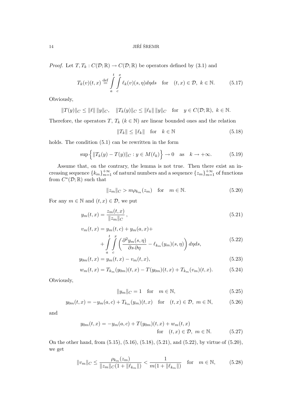*Proof.* Let  $T, T_k : C(\mathcal{D}; \mathbb{R}) \to C(\mathcal{D}; \mathbb{R})$  be operators defined by (3.1) and

$$
T_k(v)(t,x) \stackrel{\text{def}}{=} \int\limits_a^t \int\limits_c^x \ell_k(v)(s,\eta)d\eta ds \quad \text{for} \quad (t,x) \in \mathcal{D}, \ k \in \mathbb{N}.
$$
 (5.17)

Obviously,

$$
||T(y)||_C \le ||\ell|| \, ||y||_C
$$
,  $||T_k(y)||_C \le ||\ell_k|| \, ||y||_C$  for  $y \in C(\mathcal{D}; \mathbb{R})$ ,  $k \in \mathbb{N}$ .

Therefore, the operators T,  $T_k$  ( $k \in \mathbb{N}$ ) are linear bounded ones and the relation

$$
||T_k|| \le ||\ell_k|| \quad \text{for} \quad k \in \mathbb{N} \tag{5.18}
$$

holds. The condition  $(5.1)$  can be rewritten in the form

$$
\sup\left\{\|T_k(y) - T(y)\|_C : y \in M(\ell_k)\right\} \to 0 \quad \text{as} \quad k \to +\infty. \tag{5.19}
$$

Assume that, on the contrary, the lemma is not true. Then there exist an increasing sequence  $\{k_m\}_{m=1}^{+\infty}$  of natural numbers and a sequence  $\{z_m\}_{m=1}^{+\infty}$  of functions from  $C^*(\mathcal{D};\mathbb{R})$  such that

$$
||z_m||_C > m\rho_{k_m}(z_m) \quad \text{for} \quad m \in \mathbb{N}.\tag{5.20}
$$

For any  $m \in \mathbb{N}$  and  $(t, x) \in \mathcal{D}$ , we put

$$
y_m(t,x) = \frac{z_m(t,x)}{\|z_m\|_C},\tag{5.21}
$$

$$
v_m(t,x) = y_m(t,c) + y_m(a,x) +
$$
  
+ 
$$
\int_{a}^{t} \int_{c}^{x} \left( \frac{\partial^2 y_m(s,\eta)}{\partial s \partial \eta} - \ell_{k_m}(y_m)(s,\eta) \right) d\eta ds,
$$
 (5.22)

$$
y_{0m}(t,x) = y_m(t,x) - v_m(t,x),
$$
\n(5.23)

$$
w_m(t,x) = T_{k_m}(y_{0m})(t,x) - T(y_{0m})(t,x) + T_{k_m}(v_m)(t,x).
$$
 (5.24)

Obviously,

$$
||y_m||_C = 1 \quad \text{for} \quad m \in \mathbb{N},\tag{5.25}
$$

$$
y_{0m}(t,x) = -y_m(a,c) + T_{k_m}(y_m)(t,x) \text{ for } (t,x) \in \mathcal{D}, m \in \mathbb{N},
$$
 (5.26)

and

$$
y_{0m}(t,x) = -y_m(a,c) + T(y_{0m})(t,x) + w_m(t,x)
$$
  
for  $(t,x) \in \mathcal{D}$ ,  $m \in \mathbb{N}$ . (5.27)

On the other hand, from (5.15), (5.16), (5.18), (5.21), and (5.22), by virtue of (5.20), we get

$$
||v_m||_C \le \frac{\rho_{k_m}(z_m)}{||z_m||_C(1 + ||\ell_{k_m}||)} < \frac{1}{m(1 + ||\ell_{k_m}||)} \quad \text{for} \quad m \in \mathbb{N},\tag{5.28}
$$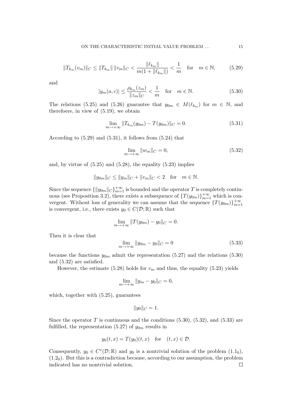$$
||T_{k_m}(v_m)||_C \le ||T_{k_m}|| \, ||v_m||_C < \frac{||\ell_{k_m}||}{m(1 + ||\ell_{k_m}||)} < \frac{1}{m} \quad \text{for} \quad m \in \mathbb{N},\tag{5.29}
$$

and

$$
|y_m(a,c)| \le \frac{\rho_{k_m}(z_m)}{\|z_m\|_C} < \frac{1}{m}
$$
 for  $m \in \mathbb{N}$ . (5.30)

The relations (5.25) and (5.26) guarantee that  $y_{0m} \in M(\ell_{k_m})$  for  $m \in \mathbb{N}$ , and therefoere, in view of (5.19), we obtain

$$
\lim_{m \to +\infty} ||T_{k_m}(y_{0m}) - T(y_{0m})||_C = 0.
$$
\n(5.31)

According to (5.29) and (5.31), it follows from (5.24) that

$$
\lim_{m \to +\infty} \|w_m\|_C = 0,\tag{5.32}
$$

and, by virtue of  $(5.25)$  and  $(5.28)$ , the equality  $(5.23)$  implies

$$
||y_{0m}||_C \le ||y_m||_C + ||v_m||_C < 2
$$
 for  $m \in \mathbb{N}$ .

Since the sequence  $\{\Vert y_{0m}\Vert_{C}\}_{m=1}^{+\infty}$  is bounded and the operator T is completely continuous (see Proposition 3.2), there exists a subsequence of  $\{T(y_{0m})\}_{m=1}^{+\infty}$  which is convergent. Without loss of generality we can assume that the sequence  $\{T(y_{0m})\}_{m=1}^{+\infty}$ is convergent, i.e., there exists  $y_0 \in C(\mathcal{D}; \mathbb{R})$  such that

$$
\lim_{m \to +\infty} ||T(y_{0m}) - y_0||_C = 0.
$$

Then it is clear that

$$
\lim_{m \to +\infty} \|y_{0m} - y_0\|_C = 0
$$
\n(5.33)

because the functions  $y_{0m}$  admit the representation (5.27) and the relations (5.30) and (5.32) are satisfied.

However, the estimate (5.28) holds for  $v_m$  and thus, the equality (5.23) yields

$$
\lim_{m \to +\infty} \|y_m - y_0\|_C = 0,
$$

which, together with (5.25), guarantees

$$
||y_0||_C=1.
$$

Since the operator T is continuous and the conditions  $(5.30)$ ,  $(5.32)$ , and  $(5.33)$  are fulfilled, the representation (5.27) of  $y_{0m}$  results in

$$
y_0(t, x) = T(y_0)(t, x)
$$
 for  $(t, x) \in \mathcal{D}$ .

Consequently,  $y_0 \in C^*(\mathcal{D}; \mathbb{R})$  and  $y_0$  is a nontrivial solution of the problem  $(1.1_0)$ ,  $(1.2<sub>0</sub>)$ . But this is a contradiction because, according to our assumption, the problem indicated has no nontrivial solution. $\Box$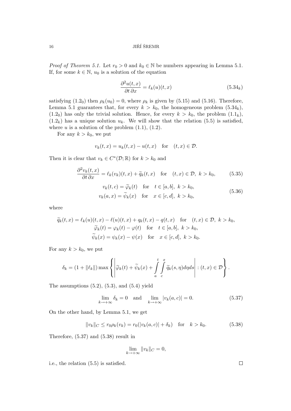### $16$  JIŘÍ ŠREMR

*Proof of Theorem 5.1.* Let  $r_0 > 0$  and  $k_0 \in \mathbb{N}$  be numbers appearing in Lemma 5.1. If, for some  $k \in \mathbb{N}$ ,  $u_0$  is a solution of the equation

$$
\frac{\partial^2 u(t,x)}{\partial t \partial x} = \ell_k(u)(t,x) \tag{5.34k}
$$

satisfying  $(1.2_0)$  then  $\rho_k(u_0) = 0$ , where  $\rho_k$  is given by  $(5.15)$  and  $(5.16)$ . Therefore, Lemma 5.1 guarantees that, for every  $k > k_0$ , the homogeneous problem  $(5.34_k)$ ,  $(1.2<sub>0</sub>)$  has only the trivial solution. Hence, for every  $k > k<sub>0</sub>$ , the problem  $(1.1<sub>k</sub>)$ ,  $(1.2<sub>k</sub>)$  has a unique solution  $u_k$ . We will show that the relation  $(5.5)$  is satisfied, where  $u$  is a solution of the problem  $(1.1)$ ,  $(1.2)$ .

For any  $k > k_0$ , we put

$$
v_k(t, x) = u_k(t, x) - u(t, x) \quad \text{for} \quad (t, x) \in \mathcal{D}.
$$

Then it is clear that  $v_k \in C^*(\mathcal{D}; \mathbb{R})$  for  $k > k_0$  and

$$
\frac{\partial^2 v_k(t,x)}{\partial t \partial x} = \ell_k(v_k)(t,x) + \widetilde{q}_k(t,x) \quad \text{for} \quad (t,x) \in \mathcal{D}, \ k > k_0,
$$
(5.35)  

$$
v_k(t,c) = \widetilde{\varphi}_k(t) \quad \text{for} \quad t \in [a,b], \ k > k_0,
$$

$$
v_k(a,x) = \widetilde{\psi}_k(x) \quad \text{for} \quad x \in [c,d], \ k > k_0,
$$
(5.36)

where

$$
\widetilde{q}_k(t,x) = \ell_k(u)(t,x) - \ell(u)(t,x) + q_k(t,x) - q(t,x) \quad \text{for} \quad (t,x) \in \mathcal{D}, \ k > k_0,
$$

$$
\widetilde{\varphi}_k(t) = \varphi_k(t) - \varphi(t) \quad \text{for} \quad t \in [a,b], \ k > k_0,
$$

$$
\widetilde{\psi}_k(x) = \psi_k(x) - \psi(x) \quad \text{for} \quad x \in [c,d], \ k > k_0.
$$

For any  $k > k_0$ , we put

$$
\delta_k = (1 + ||\ell_k||) \max \left\{ \left| \widetilde{\varphi}_k(t) + \widetilde{\psi}_k(x) + \int_a^t \int_c^x \widetilde{q}_k(s, \eta) d\eta ds \right| : (t, x) \in \mathcal{D} \right\}.
$$

The assumptions  $(5.2)$ ,  $(5.3)$ , and  $(5.4)$  yield

$$
\lim_{k \to +\infty} \delta_k = 0 \quad \text{and} \quad \lim_{k \to +\infty} |v_k(a, c)| = 0. \tag{5.37}
$$

On the other hand, by Lemma 5.1, we get

$$
||v_k||_C \le r_0 \rho_k(v_k) = r_0(|v_k(a, c)| + \delta_k) \quad \text{for} \quad k > k_0.
$$
 (5.38)

Therefore, (5.37) and (5.38) result in

$$
\lim_{k \to +\infty} ||v_k||_C = 0,
$$

i.e., the relation (5.5) is satisfied.

 $\Box$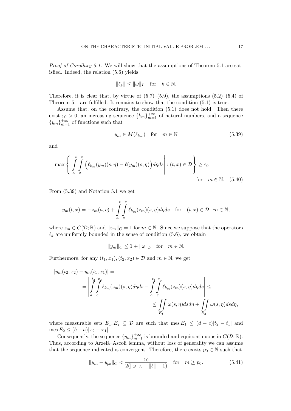Proof of Corollary 5.1. We will show that the assumptions of Theorem 5.1 are satisfied. Indeed, the relation (5.6) yields

$$
\|\ell_k\| \le \|\omega\|_L \quad \text{for} \quad k \in \mathbb{N}.
$$

Therefore, it is clear that, by virtue of  $(5.7)$ – $(5.9)$ , the assumptions  $(5.2)$ – $(5.4)$  of Theorem 5.1 are fulfilled. It remains to show that the condition (5.1) is true.

Assume that, on the contrary, the condition (5.1) does not hold. Then there exist  $\varepsilon_0 > 0$ , an increasing sequence  ${k_m}_{m=1}^{+\infty}$  of natural numbers, and a sequence  ${y_m}_{m=1}^{+\infty}$  of functions such that

$$
y_m \in M(\ell_{k_m}) \quad \text{for} \quad m \in \mathbb{N} \tag{5.39}
$$

and

$$
\max \left\{ \left| \int_{a}^{t} \int_{c}^{x} \left( \ell_{k_m}(y_m)(s,\eta) - \ell(y_m)(s,\eta) \right) d\eta ds \right| : (t,x) \in \mathcal{D} \right\} \geq \varepsilon_0
$$
\nfor  $m \in \mathbb{N}$ .

\n(5.40)

From (5.39) and Notation 5.1 we get

$$
y_m(t,x) = -z_m(a,c) + \int\limits_a^t \int\limits_c^x \ell_{k_m}(z_m)(s,\eta)d\eta ds \quad \text{for} \quad (t,x) \in \mathcal{D}, \ m \in \mathbb{N},
$$

where  $z_m \in C(\mathcal{D}; \mathbb{R})$  and  $||z_m||_C = 1$  for  $m \in \mathbb{N}$ . Since we suppose that the operators  $\ell_k$  are uniformly bounded in the sense of condition (5.6), we obtain

$$
||y_m||_C \le 1 + ||\omega||_L \quad \text{for} \quad m \in \mathbb{N}.
$$

Furthermore, for any  $(t_1, x_1), (t_2, x_2) \in \mathcal{D}$  and  $m \in \mathbb{N}$ , we get

$$
\begin{aligned}\n|y_m(t_2, x_2) - y_m(t_1, x_1)| &= \\
&= \left| \int_a^{\frac{t_2}{2}} \int_a^{x_2} \ell_{k_m}(z_m)(s, \eta) d\eta ds - \int_a^{\frac{t_1}{2}} \int_a^{\frac{x_1}{2}} \ell_{k_m}(z_m)(s, \eta) d\eta ds \right| \leq \\
&\leq \iint_{E_1} \omega(s, \eta) ds d\eta + \iint_{E_2} \omega(s, \eta) ds d\eta,\n\end{aligned}
$$

where measurable sets  $E_1, E_2 \subseteq \mathcal{D}$  are such that mes  $E_1 \leq (d-c)|t_2-t_1|$  and  $\text{mes } E_2 \le (b-a)|x_2 - x_1|.$ 

Consequently, the sequence  $\{y_m\}_{m=1}^{+\infty}$  is bounded and equicontinuous in  $C(\mathcal{D}; \mathbb{R})$ . Thus, according to Arzelà–Ascoli lemma, without loss of generality we can assume that the sequence indicated is convergent. Therefore, there exists  $p_0 \in \mathbb{N}$  such that

$$
||y_m - y_{p_0}||_C < \frac{\varepsilon_0}{2(||\omega||_L + ||\ell|| + 1)} \quad \text{for} \quad m \ge p_0.
$$
 (5.41)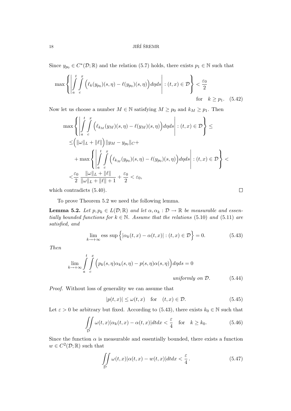Since  $y_{p_0} \in C^*(\mathcal{D}; \mathbb{R})$  and the relation (5.7) holds, there exists  $p_1 \in \mathbb{N}$  such that

$$
\max \left\{ \left| \int\limits_a^t \int\limits_c^x \left( \ell_k(y_{p_0})(s,\eta) - \ell(y_{p_0})(s,\eta) \right) d\eta ds \right| : (t,x) \in \mathcal{D} \right\} < \frac{\varepsilon_0}{2}
$$
\n
$$
\text{for} \quad k \ge p_1. \quad (5.42)
$$

Now let us choose a number  $M \in \mathbb{N}$  satisfying  $M \geq p_0$  and  $k_M \geq p_1$ . Then

$$
\max \left\{ \left| \int_{a}^{t} \int_{c}^{x} \left( \ell_{k_{M}}(y_{M})(s, \eta) - \ell(y_{M})(s, \eta) \right) d\eta ds \right| : (t, x) \in \mathcal{D} \right\} \le
$$
  
\n
$$
\leq \left( \|\omega\|_{L} + \|\ell\| \right) \|\overline{y}_{M} - \overline{y}_{p_{0}}\|_{C} +
$$
  
\n
$$
+ \max \left\{ \left| \int_{a}^{t} \int_{c}^{x} \left( \ell_{k_{M}}(y_{p_{0}})(s, \eta) - \ell(y_{p_{0}})(s, \eta) \right) d\eta ds \right| : (t, x) \in \mathcal{D} \right\} <
$$
  
\n
$$
< \frac{\varepsilon_{0}}{2} \frac{\|\omega\|_{L} + \|\ell\|}{\|\omega\|_{L} + \|\ell\| + 1} + \frac{\varepsilon_{0}}{2} < \varepsilon_{0},
$$

which contradicts (5.40).

To prove Theorem 5.2 we need the following lemma.

**Lemma 5.2.** Let  $p, p_k \in L(\mathcal{D}; \mathbb{R})$  and let  $\alpha, \alpha_k : \mathcal{D} \to \mathbb{R}$  be measurable and essentially bounded functions for  $k \in \mathbb{N}$ . Assume that the relations (5.10) and (5.11) are satisfied, and

$$
\lim_{k \to +\infty} \text{ess sup } \left\{ |\alpha_k(t, x) - \alpha(t, x)| : (t, x) \in \mathcal{D} \right\} = 0.
$$
 (5.43)

 $\Box$ 

Then

$$
\lim_{k \to +\infty} \int_{a}^{t} \int_{c}^{x} \left( p_k(s, \eta) \alpha_k(s, \eta) - p(s, \eta) \alpha(s, \eta) \right) d\eta ds = 0
$$
\n*uniformly on D.* (5.44)

Proof. Without loss of generality we can assume that

 $|p(t, x)| \leq \omega(t, x)$  for  $(t, x) \in \mathcal{D}$ . (5.45)

Let  $\varepsilon > 0$  be arbitrary but fixed. According to (5.43), there exists  $k_0 \in \mathbb{N}$  such that

$$
\iint\limits_{\mathcal{D}} \omega(t,x) |\alpha_k(t,x) - \alpha(t,x)| dt dx < \frac{\varepsilon}{4} \quad \text{for} \quad k \ge k_0.
$$
 (5.46)

Since the function  $\alpha$  is measurable and essentially bounded, there exists a function  $w \in C^2(\mathcal{D};\mathbb{R})$  such that

$$
\iint\limits_{\mathcal{D}} \omega(t,x) |\alpha(t,x) - w(t,x)| dt dx < \frac{\varepsilon}{4}.
$$
\n(5.47)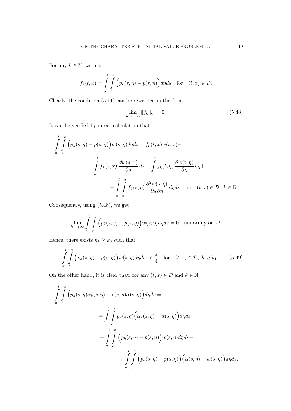For any  $k \in \mathbb{N}$ , we put

$$
f_k(t,x) = \int\limits_a^t \int\limits_c^x \Big(p_k(s,\eta) - p(s,\eta)\Big) d\eta ds \quad \text{for} \quad (t,x) \in \mathcal{D}.
$$

Clearly, the condition (5.11) can be rewritten in the form

$$
\lim_{k \to +\infty} \|f_k\|_C = 0. \tag{5.48}
$$

It can be verified by direct calculation that

$$
\int_{a}^{t} \int_{c}^{x} \left( p_{k}(s, \eta) - p(s, \eta) \right) w(s, \eta) d\eta ds = f_{k}(t, x)w(t, x) -
$$
\n
$$
- \int_{a}^{t} f_{k}(s, x) \frac{\partial w(s, x)}{\partial s} ds - \int_{c}^{x} f_{k}(t, \eta) \frac{\partial w(t, \eta)}{\partial \eta} d\eta +
$$
\n
$$
+ \int_{a}^{t} \int_{c}^{x} f_{k}(s, \eta) \frac{\partial^{2} w(s, \eta)}{\partial s \partial \eta} d\eta ds \quad \text{for} \quad (t, x) \in \mathcal{D}, \ k \in \mathbb{N}.
$$

Consequently, using (5.48), we get

$$
\lim_{k \to +\infty} \int\limits_a^t \int\limits_c^x \Big( p_k(s,\eta) - p(s,\eta) \Big) w(s,\eta) d\eta ds = 0 \quad \text{uniformly on } \mathcal{D}.
$$

Hence, there exists  $k_1 \geq k_0$  such that

$$
\left| \int_{a}^{t} \int_{c}^{x} \left( p_k(s, \eta) - p(s, \eta) \right) w(s, \eta) d\eta ds \right| < \frac{\varepsilon}{4} \quad \text{for} \quad (t, x) \in \mathcal{D}, \ k \ge k_1. \tag{5.49}
$$

On the other hand, it is clear that, for any  $(t, x) \in \mathcal{D}$  and  $k \in \mathbb{N}$ ,

$$
\int_{a}^{t} \int_{c}^{x} \left( p_k(s, \eta) \alpha_k(s, \eta) - p(s, \eta) \alpha(s, \eta) \right) d\eta ds =
$$
\n
$$
= \int_{a}^{t} \int_{c}^{x} p_k(s, \eta) \left( \alpha_k(s, \eta) - \alpha(s, \eta) \right) d\eta ds +
$$
\n
$$
+ \int_{a}^{t} \int_{c}^{x} \left( p_k(s, \eta) - p(s, \eta) \right) w(s, \eta) d\eta ds +
$$
\n
$$
+ \int_{a}^{t} \int_{c}^{x} \left( p_k(s, \eta) - p(s, \eta) \right) \left( \alpha(s, \eta) - w(s, \eta) \right) d\eta ds.
$$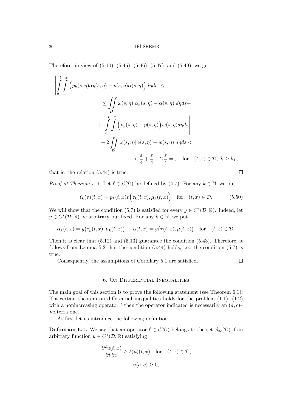### $20$  JIŘÍ ŠREMR

Therefore, in view of (5.10), (5.45), (5.46), (5.47), and (5.49), we get

$$
\left| \int_{a}^{t} \int_{c}^{x} \left( p_{k}(s, \eta) \alpha_{k}(s, \eta) - p(s, \eta) \alpha(s, \eta) \right) d\eta ds \right| \le
$$
\n
$$
\leq \int_{D} \omega(s, \eta) |\alpha_{k}(s, \eta) - \alpha(s, \eta)| d\eta ds +
$$
\n
$$
+ \left| \int_{a}^{t} \int_{c}^{x} \left( p_{k}(s, \eta) - p(s, \eta) \right) w(s, \eta) d\eta ds \right| +
$$
\n
$$
+ 2 \int_{D} \omega(s, \eta) |\alpha(s, \eta) - w(s, \eta)| d\eta ds <
$$
\n
$$
< \frac{\varepsilon}{4} + \frac{\varepsilon}{4} + 2\frac{\varepsilon}{4} = \varepsilon \quad \text{for} \quad (t, x) \in \mathcal{D}, \ k \geq k_{1},
$$

that is, the relation (5.44) is true.

 $\Box$ 

*Proof of Theorem 5.2.* Let  $\ell \in \mathcal{L}(\mathcal{D})$  be defined by (4.7). For any  $k \in \mathbb{N}$ , we put

$$
\ell_k(v)(t,x) = p_k(t,x)v\Big(\tau_k(t,x), \mu_k(t,x)\Big) \quad \text{for} \quad (t,x) \in \mathcal{D}.\tag{5.50}
$$

We will show that the condition (5.7) is satisfied for every  $y \in C^*(\mathcal{D}; \mathbb{R})$ . Indeed, let  $y \in C^*(\mathcal{D}; \mathbb{R})$  be arbitrary but fixed. For any  $k \in \mathbb{N}$ , we put

$$
\alpha_k(t,x) = y(\tau_k(t,x), \mu_k(t,x)), \quad \alpha(t,x) = y(\tau(t,x), \mu(t,x)) \quad \text{for} \quad (t,x) \in \mathcal{D}.
$$

Then it is clear that (5.12) and (5.13) guarantee the condition (5.43). Therefore, it follows from Lemma 5.2 that the condition (5.44) holds, i.e., the condition (5.7) is true.

Consequently, the assumptions of Corollary 5.1 are satisfied.

 $\Box$ 

### 6. On Differential Inequalities

The main goal of this section is to prove the following statement (see Theorem 6.1): If a certain theorem on differential inequalities holds for the problem  $(1.1)$ ,  $(1.2)$ with a nonincreasing operator  $\ell$  then the operator indicated is necessarily an  $(a, c)$ – Volterra one.

At first let us introduce the following definition.

**Definition 6.1.** We say that an operator  $\ell \in \mathcal{L}(\mathcal{D})$  belongs to the set  $\mathcal{S}_{ac}(\mathcal{D})$  if an arbitrary function  $u \in C^*(\mathcal{D};\mathbb{R})$  satisfying

$$
\frac{\partial^2 u(t, x)}{\partial t \partial x} \ge \ell(u)(t, x) \quad \text{for} \quad (t, x) \in \mathcal{D},
$$

$$
u(a, c) \ge 0,
$$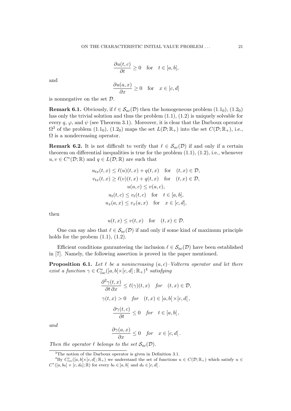$$
\frac{\partial u(t,c)}{\partial t} \ge 0 \quad \text{for} \quad t \in [a,b],
$$

and

$$
\frac{\partial u(a,x)}{\partial x} \ge 0 \quad \text{for} \quad x \in [c,d]
$$

is nonnegative on the set D.

**Remark 6.1.** Obviously, if  $\ell \in S_{ac}(\mathcal{D})$  then the homogeneous problem  $(1.1_0)$ ,  $(1.2_0)$ has only the trivial solution and thus the problem (1.1), (1.2) is uniquely solvable for every q,  $\varphi$ , and  $\psi$  (see Theorem 3.1). Moreover, it is clear that the Darboux operator  $\Omega^3$  of the problem  $(1.1_0)$ ,  $(1.2_0)$  maps the set  $L(\mathcal{D}; \mathbb{R}_+)$  into the set  $C(\mathcal{D}; \mathbb{R}_+)$ , i.e.,  $\Omega$  is a nondecreasing operator.

**Remark 6.2.** It is not difficult to verify that  $\ell \in S_{ac}(\mathcal{D})$  if and only if a certain theorem on differential inequalities is true for the problem  $(1.1)$ ,  $(1.2)$ , i.e., whenever  $u, v \in C^*(\mathcal{D}; \mathbb{R})$  and  $q \in L(\mathcal{D}; \mathbb{R})$  are such that

$$
u_{tx}(t,x) \leq \ell(u)(t,x) + q(t,x) \quad \text{for} \quad (t,x) \in \mathcal{D},
$$
  
\n
$$
v_{tx}(t,x) \geq \ell(v)(t,x) + q(t,x) \quad \text{for} \quad (t,x) \in \mathcal{D},
$$
  
\n
$$
u(a,c) \leq v(a,c),
$$
  
\n
$$
u_t(t,c) \leq v_t(t,c) \quad \text{for} \quad t \in [a,b],
$$
  
\n
$$
u_x(a,x) \leq v_x(a,x) \quad \text{for} \quad x \in [c,d],
$$

then

$$
u(t, x) \le v(t, x)
$$
 for  $(t, x) \in \mathcal{D}$ .

One can say also that  $\ell \in \mathcal{S}_{ac}(\mathcal{D})$  if and only if some kind of maximum principle holds for the probem  $(1.1)$ ,  $(1.2)$ .

Efficient conditions gauranteeing the inclusion  $\ell \in \mathcal{S}_{ac}(\mathcal{D})$  have been established in [7]. Namely, the following assertion is proved in the paper mentioned.

**Proposition 6.1.** Let  $\ell$  be a nonincreasing  $(a, c)$ –Volterra operator and let there exist a function  $\gamma \in C^*_{loc}([a,b[\times [c,d[;\mathbb{R}_+)^4\; satisfying$ 

$$
\frac{\partial^2 \gamma(t, x)}{\partial t \partial x} \le \ell(\gamma)(t, x) \quad \text{for} \quad (t, x) \in \mathcal{D},
$$
  

$$
\gamma(t, x) > 0 \quad \text{for} \quad (t, x) \in [a, b] \times [c, d],
$$
  

$$
\frac{\partial \gamma(t, c)}{\partial t} \le 0 \quad \text{for} \quad t \in [a, b],
$$

and

$$
\frac{\partial \gamma(a,x)}{\partial x} \le 0 \quad \text{for} \quad x \in [c,d].
$$

Then the operator  $\ell$  belongs to the set  $\mathcal{S}_{ac}(\mathcal{D})$ .

 $^3{\rm The}$  notion of the Darboux operator is given in Definition 3.1.

<sup>&</sup>lt;sup>4</sup>By  $C^*_{loc}([a,b[\times [c,d];\mathbb{R}_+)$  we understand the set of functions  $u \in C(\mathcal{D};\mathbb{R}_+)$  which satisfy  $u \in$  $C^*([a, b_0] \times [c, d_0]; \mathbb{R})$  for every  $b_0 \in ]a, b[$  and  $d_0 \in ]c, d[$ .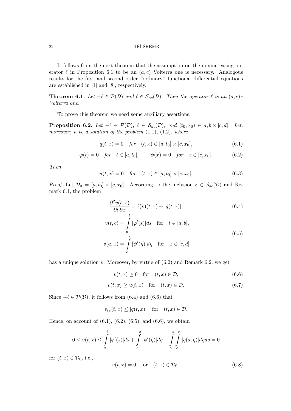It follows from the next theorem that the assumption on the nonincreasing operator  $\ell$  in Proposition 6.1 to be an  $(a, c)$ –Volterra one is necessary. Analogous results for the first and second order "ordinary" functional–differential equations are established in [1] and [8], respectively.

**Theorem 6.1.** Let  $-\ell \in \mathcal{P}(\mathcal{D})$  and  $\ell \in \mathcal{S}_{ac}(\mathcal{D})$ . Then the operator  $\ell$  is an  $(a, c)$ – Volterra one.

To prove this theorem we need some auxiliary assertions.

**Proposition 6.2.** Let  $-\ell \in \mathcal{P}(\mathcal{D})$ ,  $\ell \in \mathcal{S}_{ac}(\mathcal{D})$ , and  $(t_0, x_0) \in [a, b] \times [c, d]$ . Let, moreover, u be a solution of the problem  $(1.1)$ ,  $(1.2)$ , where

$$
q(t,x) = 0 \quad \text{for} \quad (t,x) \in [a, t_0] \times [c, x_0], \tag{6.1}
$$

$$
\varphi(t) = 0
$$
 for  $t \in [a, t_0]$ ,  $\psi(x) = 0$  for  $x \in [c, x_0]$ . (6.2)

 $|\psi'(\eta)| d\eta$  for  $x \in [c, d]$ 

Then

$$
u(t,x) = 0 \quad \text{for} \quad (t,x) \in [a, t_0] \times [c, x_0]. \tag{6.3}
$$

*Proof.* Let  $\mathcal{D}_0 = [a, t_0] \times [c, x_0]$ . According to the inclusion  $\ell \in \mathcal{S}_{ac}(\mathcal{D})$  and Remark 6.1, the problem

$$
\frac{\partial^2 v(t, x)}{\partial t \partial x} = \ell(v)(t, x) + |q(t, x)|,
$$
\n(6.4)\n
$$
v(t, c) = \int_a^t |\varphi'(s)| ds \quad \text{for} \quad t \in [a, b],
$$
\n
$$
v(a, x) = \int_a^x |\psi'(\eta)| d\eta \quad \text{for} \quad x \in [c, d]
$$

has a unique solution 
$$
v
$$
. Moreover, by virtue of (6.2) and Remark 6.2, we get

c

$$
v(t,x) \ge 0 \quad \text{for} \quad (t,x) \in \mathcal{D}, \tag{6.6}
$$

$$
v(t,x) \ge u(t,x) \quad \text{for} \quad (t,x) \in \mathcal{D}.\tag{6.7}
$$

Since  $-\ell \in \mathcal{P}(\mathcal{D})$ , it follows from (6.4) and (6.6) that

$$
v_{tx}(t,x) \le |q(t,x)| \quad \text{for} \quad (t,x) \in \mathcal{D}.
$$

Hence, on account of  $(6.1)$ ,  $(6.2)$ ,  $(6.5)$ , and  $(6.6)$ , we obtain

$$
0 \le v(t,x) \le \int_a^t |\varphi'(s)|ds + \int_c^x |\psi'(\eta)|d\eta + \int_a^t \int_c^x |q(s,\eta)|d\eta ds = 0
$$

for  $(t, x) \in \mathcal{D}_0$ , i.e.,

$$
v(t,x) = 0 \quad \text{for} \quad (t,x) \in \mathcal{D}_0. \tag{6.8}
$$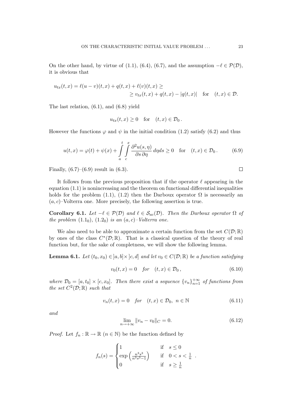On the other hand, by virtue of (1.1), (6.4), (6.7), and the assumption  $-\ell \in \mathcal{P}(\mathcal{D})$ , it is obvious that

$$
u_{tx}(t,x) = \ell(u-v)(t,x) + q(t,x) + \ell(v)(t,x) \ge
$$
  
 
$$
\ge v_{tx}(t,x) + q(t,x) - |q(t,x)| \text{ for } (t,x) \in \mathcal{D}.
$$

The last relation, (6.1), and (6.8) yield

$$
u_{tx}(t,x) \ge 0 \quad \text{for} \quad (t,x) \in \mathcal{D}_0\,.
$$

However the functions  $\varphi$  and  $\psi$  in the initial condition (1.2) satisfy (6.2) and thus

$$
u(t,x) = \varphi(t) + \psi(x) + \int_{a}^{t} \int_{c}^{x} \frac{\partial^2 u(s,\eta)}{\partial s \partial \eta} d\eta ds \ge 0 \quad \text{for} \quad (t,x) \in \mathcal{D}_0.
$$
 (6.9)

Finally,  $(6.7)$ – $(6.9)$  result in  $(6.3)$ .

It follows from the previous proposition that if the operator  $\ell$  appearing in the equation (1.1) is nonincreasing and the theorem on functional differential inequalities holds for the problem (1.1), (1.2) then the Darboux operator  $\Omega$  is necessarily an  $(a, c)$ –Volterra one. More precisely, the following assertion is true.

Corollary 6.1. Let  $-\ell \in \mathcal{P}(\mathcal{D})$  and  $\ell \in \mathcal{S}_{ac}(\mathcal{D})$ . Then the Darboux operator  $\Omega$  of the problem  $(1.1<sub>0</sub>), (1.2<sub>0</sub>)$  is an  $(a, c)$ –Volterra one.

We also need to be able to approximate a certain function from the set  $C(\mathcal{D}; \mathbb{R})$ by ones of the class  $C^*(\mathcal{D}; \mathbb{R})$ . That is a classical question of the theory of real function but, for the sake of completness, we will show the following lemma.

**Lemma 6.1.** Let  $(t_0, x_0) \in ]a, b] \times ]c, d]$  and let  $v_0 \in C(\mathcal{D}; \mathbb{R})$  be a function satisfying

$$
v_0(t, x) = 0
$$
 for  $(t, x) \in \mathcal{D}_0$ , (6.10)

where  $\mathcal{D}_0 = [a, t_0] \times [c, x_0]$ . Then there exist a sequence  $\{v_n\}_{n=1}^{+\infty}$  of functions from the set  $C^2(\mathcal{D};\mathbb{R})$  such that

$$
v_n(t,x) = 0 \quad \text{for} \quad (t,x) \in \mathcal{D}_0, \ n \in \mathbb{N} \tag{6.11}
$$

and

$$
\lim_{n \to +\infty} ||v_n - v_0||_C = 0.
$$
\n(6.12)

*Proof.* Let  $f_n : \mathbb{R} \to \mathbb{R}$   $(n \in \mathbb{N})$  be the function defined by

$$
f_n(s) = \begin{cases} 1 & \text{if } s \le 0 \\ \exp\left(\frac{n^3 s^3}{n^3 s^3 - 1}\right) & \text{if } 0 < s < \frac{1}{n} \\ 0 & \text{if } s \ge \frac{1}{n} \end{cases}
$$

 $\Box$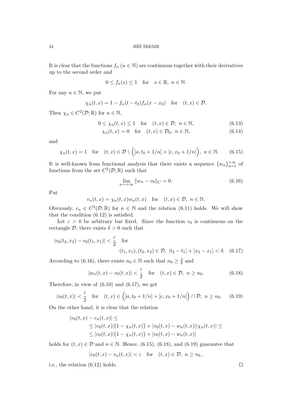It is clear that the functions  $f_n$  ( $n \in \mathbb{N}$ ) are continuous together with their derivatives up to the second order and

$$
0 \le f_n(s) \le 1 \quad \text{for} \quad s \in \mathbb{R}, \ n \in \mathbb{N}.
$$

For any  $n \in \mathbb{N}$ , we put

$$
\chi_n(t, x) = 1 - f_n(t - t_0) f_n(x - x_0)
$$
 for  $(t, x) \in \mathcal{D}$ .

Then  $\chi_n \in C^2(\mathcal{D}; \mathbb{R})$  for  $n \in \mathbb{N}$ ,

$$
0 \le \chi_n(t, x) \le 1 \quad \text{for} \quad (t, x) \in \mathcal{D}, \ n \in \mathbb{N}, \tag{6.13}
$$

$$
\chi_n(t,x) = 0 \quad \text{for} \quad (t,x) \in \mathcal{D}_0, \ n \in \mathbb{N}, \tag{6.14}
$$

and

$$
\chi_n(t,x) = 1 \quad \text{for} \quad (t,x) \in \mathcal{D} \setminus \left( [a, t_0 + 1/n] \times [c, x_0 + 1/n] \right), \ n \in \mathbb{N}. \tag{6.15}
$$

It is well-known from functional analysis that there exists a sequence  $\{w_n\}_{n=1}^{+\infty}$  of functions from the set  $C^2(\mathcal{D};\mathbb{R})$  such that

$$
\lim_{n \to +\infty} \|w_n - v_0\|_C = 0.
$$
\n(6.16)

Put

$$
v_n(t,x) = \chi_n(t,x)w_n(t,x) \quad \text{for} \quad (t,x) \in \mathcal{D}, \ n \in \mathbb{N}.
$$

Obviously,  $v_n \in C^2(\mathcal{D}; \mathbb{R})$  for  $n \in \mathbb{N}$  and the relation (6.11) holds. We will show that the condition (6.12) is satisfied.

Let  $\varepsilon > 0$  be arbitrary but fixed. Since the function  $v_0$  is continuous on the rectangle  $\mathcal{D}$ , there exists  $\delta > 0$  such that

$$
|v_0(t_2, x_2) - v_0(t_1, x_1)| < \frac{\varepsilon}{2} \quad \text{for}
$$
  

$$
(t_1, x_1), (t_2, x_2) \in \mathcal{D}, \ |t_2 - t_1| + |x_2 - x_1| < \delta. \quad (6.17)
$$

According to (6.16), there exists  $n_0 \in \mathbb{N}$  such that  $n_0 \geq \frac{2}{\delta}$  $\frac{2}{\delta}$  and

$$
|w_n(t,x) - v_0(t,x)| < \frac{\varepsilon}{2} \quad \text{for} \quad (t,x) \in \mathcal{D}, \ n \ge n_0. \tag{6.18}
$$

Therefore, in view of  $(6.10)$  and  $(6.17)$ , we get

$$
|v_0(t,x)| < \frac{\varepsilon}{2} \quad \text{for} \quad (t,x) \in \left( [a, t_0 + 1/n] \times [c, x_0 + 1/n] \right) \cap \mathcal{D}, \ n \ge n_0. \tag{6.19}
$$

On the other hand, it is clear that the relation

$$
|v_0(t,x) - v_n(t,x)| \le
$$
  
\n
$$
\leq |v_0(t,x)| (1 - \chi_n(t,x)) + |v_0(t,x) - w_n(t,x)||\chi_n(t,x)| \le
$$
  
\n
$$
\leq |v_0(t,x)| (1 - \chi_n(t,x)) + |v_0(t,x) - w_n(t,x)|
$$

holds for  $(t, x) \in \mathcal{D}$  and  $n \in \mathbb{N}$ . Hence, (6.15), (6.18), and (6.19) guarantee that

$$
|v_0(t,x) - v_n(t,x)| < \varepsilon \quad \text{for} \quad (t,x) \in \mathcal{D}, \ n \ge n_0,
$$

i.e., the relation (6.12) holds.

 $\Box$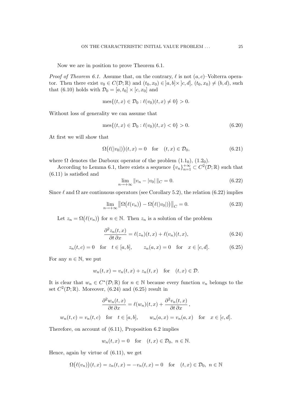Now we are in position to prove Theorem 6.1.

*Proof of Theorem 6.1.* Assume that, on the contrary,  $\ell$  is not  $(a, c)$ –Volterra operator. Then there exist  $v_0 \in C(\mathcal{D}; \mathbb{R})$  and  $(t_0, x_0) \in [a, b] \times [c, d]$ ,  $(t_0, x_0) \neq (b, d)$ , such that (6.10) holds with  $\mathcal{D}_0 = [a, t_0] \times [c, x_0]$  and

$$
\text{mes}\{(t,x)\in\mathcal{D}_0: \ell(v_0)(t,x)\neq 0\} > 0.
$$

Without loss of generality we can assume that

$$
\text{mes}\{(t,x)\in\mathcal{D}_0: \ell(v_0)(t,x)<0\}>0.\tag{6.20}
$$

At first we will show that

$$
\Omega(\ell(|v_0|))(t,x) = 0 \quad \text{for} \quad (t,x) \in \mathcal{D}_0,\tag{6.21}
$$

where  $\Omega$  denotes the Darboux operator of the problem  $(1.1_0)$ ,  $(1.2_0)$ .

According to Lemma 6.1, there exists a sequence  ${v_n}_{n=1}^{+\infty} \subset C^2(\mathcal{D}; \mathbb{R})$  such that (6.11) is satisfied and

$$
\lim_{n \to +\infty} ||v_n - v_0||_C = 0.
$$
\n(6.22)

Since  $\ell$  and  $\Omega$  are continuous operators (see Corollary 5.2), the relation (6.22) implies

$$
\lim_{n \to +\infty} \left\| \Omega\big(\ell(v_n)\big) - \Omega\big(\ell(|v_0|)\big) \right\|_C = 0. \tag{6.23}
$$

Let  $z_n = \Omega(\ell(v_n))$  for  $n \in \mathbb{N}$ . Then  $z_n$  is a solution of the problem

$$
\frac{\partial^2 z_n(t,x)}{\partial t \partial x} = \ell(z_n)(t,x) + \ell(v_n)(t,x),\tag{6.24}
$$

$$
z_n(t, c) = 0
$$
 for  $t \in [a, b]$ ,  $z_n(a, x) = 0$  for  $x \in [c, d]$ . (6.25)

For any  $n \in \mathbb{N}$ , we put

$$
w_n(t, x) = v_n(t, x) + z_n(t, x) \quad \text{for} \quad (t, x) \in \mathcal{D}.
$$

It is clear that  $w_n \in C^*(\mathcal{D}; \mathbb{R})$  for  $n \in \mathbb{N}$  because every function  $v_n$  belongs to the set  $C^2(\mathcal{D};\mathbb{R})$ . Moreover, (6.24) and (6.25) result in

$$
\frac{\partial^2 w_n(t,x)}{\partial t \partial x} = \ell(w_n)(t,x) + \frac{\partial^2 v_n(t,x)}{\partial t \partial x},
$$
  

$$
w_n(t,c) = v_n(t,c) \quad \text{for} \quad t \in [a,b], \qquad w_n(a,x) = v_n(a,x) \quad \text{for} \quad x \in [c,d].
$$

Therefore, on account of (6.11), Proposition 6.2 implies

$$
w_n(t, x) = 0 \quad \text{for} \quad (t, x) \in \mathcal{D}_0, \ n \in \mathbb{N}.
$$

Hence, again by virtue of (6.11), we get

$$
\Omega(\ell(v_n))(t,x) = z_n(t,x) = -v_n(t,x) = 0 \quad \text{for} \quad (t,x) \in \mathcal{D}_0, \ n \in \mathbb{N}
$$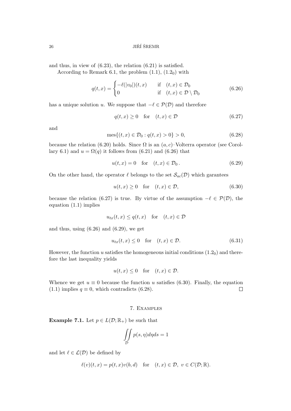and thus, in view of (6.23), the relation (6.21) is satisfied.

According to Remark 6.1, the problem  $(1.1)$ ,  $(1.2<sub>0</sub>)$  with

$$
q(t,x) = \begin{cases} -\ell(|v_0|)(t,x) & \text{if } (t,x) \in \mathcal{D}_0 \\ 0 & \text{if } (t,x) \in \mathcal{D} \setminus \mathcal{D}_0 \end{cases}
$$
(6.26)

has a unique solution u. We suppose that  $-\ell \in \mathcal{P}(\mathcal{D})$  and therefore

$$
q(t,x) \ge 0 \quad \text{for} \quad (t,x) \in \mathcal{D} \tag{6.27}
$$

and

$$
\text{mes}\{(t,x)\in\mathcal{D}_0:q(t,x)>0\}>0,\tag{6.28}
$$

because the relation (6.20) holds. Since  $\Omega$  is an  $(a, c)$ –Volterra operator (see Corollary 6.1) and  $u = \Omega(q)$  it follows from (6.21) and (6.26) that

$$
u(t,x) = 0 \quad \text{for} \quad (t,x) \in \mathcal{D}_0. \tag{6.29}
$$

On the other hand, the operator  $\ell$  belongs to the set  $\mathcal{S}_{ac}(\mathcal{D})$  which garantees

$$
u(t,x) \ge 0 \quad \text{for} \quad (t,x) \in \mathcal{D},\tag{6.30}
$$

because the relation (6.27) is true. By virtue of the assumption  $-\ell \in \mathcal{P}(\mathcal{D})$ , the equation (1.1) implies

$$
u_{tx}(t,x) \le q(t,x) \quad \text{for} \quad (t,x) \in \mathcal{D}
$$

and thus, using  $(6.26)$  and  $(6.29)$ , we get

$$
u_{tx}(t,x) \le 0 \quad \text{for} \quad (t,x) \in \mathcal{D}.\tag{6.31}
$$

However, the function u satisfies the homogeneous initial conditions  $(1.2<sub>0</sub>)$  and therefore the last inequality yields

$$
u(t,x) \leq 0
$$
 for  $(t,x) \in \mathcal{D}$ .

Whence we get  $u \equiv 0$  because the function u satisfies (6.30). Finally, the equation (1.1) implies  $q \equiv 0$ , which contradicts (6.28).  $\Box$ 

#### 7. Examples

**Example 7.1.** Let  $p \in L(\mathcal{D}; \mathbb{R}_+)$  be such that

$$
\iint\limits_{\mathcal{D}} p(s,\eta) d\eta ds = 1
$$

and let  $\ell \in \mathcal{L}(\mathcal{D})$  be defined by

$$
\ell(v)(t,x) = p(t,x)v(b,d) \quad \text{for} \quad (t,x) \in \mathcal{D}, \ v \in C(\mathcal{D};\mathbb{R}).
$$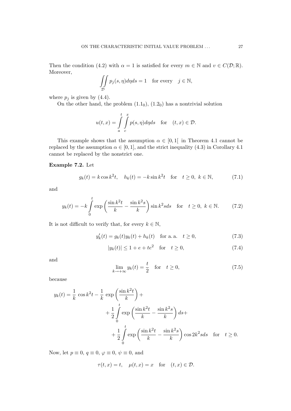Then the condition (4.2) with  $\alpha = 1$  is satisfied for every  $m \in \mathbb{N}$  and  $v \in C(\mathcal{D}; \mathbb{R})$ . Moreover,

$$
\iint_{\mathcal{D}} p_j(s, \eta) d\eta ds = 1 \quad \text{for every} \quad j \in \mathbb{N},
$$

where  $p_j$  is given by (4.4).

On the other hand, the problem  $(1.1<sub>0</sub>), (1.2<sub>0</sub>)$  has a nontrivial solution

$$
u(t,x) = \int_{a}^{t} \int_{c}^{x} p(s,\eta)d\eta ds \quad \text{for} \quad (t,x) \in \mathcal{D}.
$$

This example shows that the assumption  $\alpha \in [0,1]$  in Theorem 4.1 cannot be replaced by the assumption  $\alpha \in [0, 1]$ , and the strict inequality (4.3) in Corollary 4.1 cannot be replaced by the nonstrict one.

# Example 7.2. Let

$$
g_k(t) = k \cos k^2 t, \quad h_k(t) = -k \sin k^2 t \quad \text{for} \quad t \ge 0, \ k \in \mathbb{N}, \tag{7.1}
$$

and

$$
y_k(t) = -k \int_0^t \exp\left(\frac{\sin k^2 t}{k} - \frac{\sin k^2 s}{k}\right) \sin k^2 s ds \quad \text{for} \quad t \ge 0, \ k \in \mathbb{N}.
$$
 (7.2)

It is not difficult to verify that, for every  $k \in \mathbb{N}$ ,

$$
y'_{k}(t) = g_{k}(t)y_{k}(t) + h_{k}(t) \text{ for a. a. } t \ge 0,
$$
\n(7.3)

$$
|y_k(t)| \le 1 + e + te^2 \quad \text{for} \quad t \ge 0,
$$
 (7.4)

and

$$
\lim_{k \to +\infty} y_k(t) = \frac{t}{2} \quad \text{for} \quad t \ge 0,
$$
\n(7.5)

because

$$
y_k(t) = \frac{1}{k} \cos k^2 t - \frac{1}{k} \exp\left(\frac{\sin k^2 t}{k}\right) +
$$
  
+ 
$$
\frac{1}{2} \int_0^t \exp\left(\frac{\sin k^2 t}{k} - \frac{\sin k^2 s}{k}\right) ds +
$$
  
+ 
$$
\frac{1}{2} \int_0^t \exp\left(\frac{\sin k^2 t}{k} - \frac{\sin k^2 s}{k}\right) \cos 2k^2 s ds \text{ for } t \ge 0.
$$

Now, let  $p \equiv 0, q \equiv 0, \varphi \equiv 0, \psi \equiv 0$ , and

$$
\tau(t, x) = t, \quad \mu(t, x) = x \quad \text{for} \quad (t, x) \in \mathcal{D}.
$$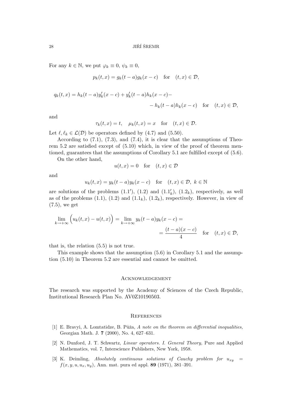For any  $k \in \mathbb{N}$ , we put  $\varphi_k \equiv 0, \psi_k \equiv 0$ ,

$$
p_k(t, x) = g_k(t - a)g_k(x - c) \quad \text{for} \quad (t, x) \in \mathcal{D},
$$

$$
q_k(t,x) = h_k(t-a)y'_k(x-c) + y'_k(t-a)h_k(x-c) -
$$
  
- 
$$
h_k(t-a)h_k(x-c) \quad \text{for} \quad (t,x) \in \mathcal{D},
$$

and

$$
\tau_k(t, x) = t, \quad \mu_k(t, x) = x \quad \text{for} \quad (t, x) \in \mathcal{D}.
$$

Let  $\ell, \ell_k \in \mathcal{L}(\mathcal{D})$  be operators defined by (4.7) and (5.50).

According to  $(7.1)$ ,  $(7.3)$ , and  $(7.4)$ , it is clear that the assumptions of Theorem 5.2 are satisfied except of (5.10) which, in view of the proof of theorem mentioned, guarantees that the assumptions of Corollary 5.1 are fulfilled except of (5.6).

On the other hand,

$$
u(t, x) = 0 \quad \text{for} \quad (t, x) \in \mathcal{D}
$$

and

$$
u_k(t, x) = y_k(t - a)y_k(x - c) \quad \text{for} \quad (t, x) \in \mathcal{D}, \ k \in \mathbb{N}
$$

are solutions of the problems  $(1.1'), (1.2)$  and  $(1.1'_k), (1.2_k)$ , respectively, as well as of the problems  $(1.1)$ ,  $(1.2)$  and  $(1.1<sub>k</sub>)$ ,  $(1.2<sub>k</sub>)$ , respectively. However, in view of (7.5), we get

$$
\lim_{k \to +\infty} \left( u_k(t, x) - u(t, x) \right) = \lim_{k \to +\infty} y_k(t - a) y_k(x - c) =
$$
\n
$$
= \frac{(t - a)(x - c)}{4} \quad \text{for} \quad (t, x) \in \mathcal{D},
$$

that is, the relation (5.5) is not true.

This example shows that the assumption (5.6) in Corollary 5.1 and the assumption (5.10) in Theorem 5.2 are essential and cannot be omitted.

#### Acknowledgement

The research was supported by the Academy of Sciences of the Czech Republic, Institutional Research Plan No. AV0Z10190503.

#### **REFERENCES**

- [1] E. Bravyi, A. Lomtatidze, B. Půža, A note on the theorem on differential inequalities, Georgian Math. J. 7 (2000), No. 4, 627–631.
- [2] N. Dunford, J. T. Schwartz, Linear operators. I. General Theory, Pure and Applied Mathematics, vol. 7, Interscience Publishers, New York, 1958.
- [3] K. Deimling, Absolutely continuous solutions of Cauchy problem for  $u_{xy}$  =  $f(x, y, u, u_x, u_y)$ , Ann. mat. pura ed appl. 89 (1971), 381–391.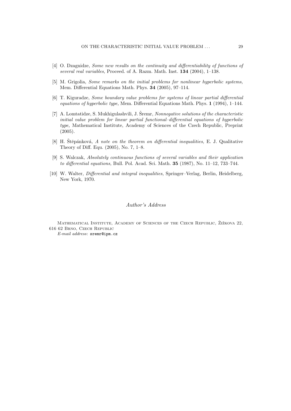- [4] O. Dzagnidze, Some new results on the continuity and differentiability of functions of several real variables, Proceed. of A. Razm. Math. Inst. 134 (2004), 1-138.
- [5] M. Grigolia, Some remarks on the initial problems for nonlinear hyperbolic systems, Mem. Differential Equations Math. Phys. 34 (2005), 97–114.
- [6] T. Kiguradze, Some boundary value problems for systems of linear partial differential equations of hyperbolic type, Mem. Differential Equations Math. Phys. 1 (1994), 1–144.
- [7] A. Lomtatidze, S. Mukhigulashvili, J. Šremr, *Nonnegative solutions of the characteristic* initial value problem for linear partial functional–differential equations of hyperbolic type, Mathematical Institute, Academy of Sciences of the Czech Republic, Preprint (2005).
- [8] H. Štěpánková,  $\vec{A}$  note on the theorem on differential inequalities, E. J. Qualitative Theory of Diff. Equ. (2005), No. 7, 1–8.
- [9] S. Walczak, Absolutely continuous functions of several variables and their application to differential equations, Bull. Pol. Acad. Sci. Math. 35 (1987), No. 11–12, 733–744.
- [10] W. Walter, Differential and integral inequalities, Springer–Verlag, Berlin, Heidelberg, New York, 1970.

#### Author's Address

MATHEMATICAL INSTITUTE, ACADEMY OF SCIENCES OF THE CZECH REPUBLIC, ŽIŽKOVA 22, 616 62 Brno, Czech Republic E-mail address: sremr@ipm.cz